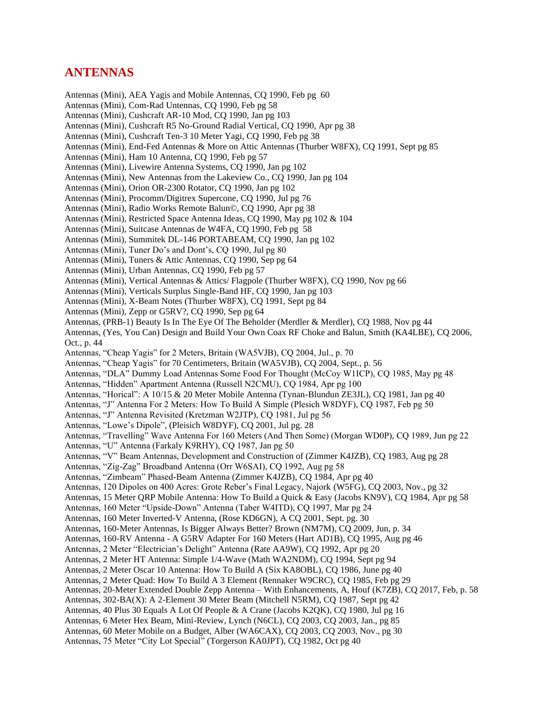## **ANTENNAS**

Antennas (Mini), AEA Yagis and Mobile Antennas, CQ 1990, Feb pg 60

- Antennas (Mini), Com-Rad Untennas, CQ 1990, Feb pg 58
- Antennas (Mini), Cushcraft AR-10 Mod, CQ 1990, Jan pg 103
- Antennas (Mini), Cushcraft R5 No-Ground Radial Vertical, CQ 1990, Apr pg 38
- Antennas (Mini), Cushcraft Ten-3 10 Meter Yagi, CQ 1990, Feb pg 38
- Antennas (Mini), End-Fed Antennas & More on Attic Antennas (Thurber W8FX), CQ 1991, Sept pg 85
- Antennas (Mini), Ham 10 Antenna, CQ 1990, Feb pg 57
- Antennas (Mini), Livewire Antenna Systems, CQ 1990, Jan pg 102
- Antennas (Mini), New Antennas from the Lakeview Co., CQ 1990, Jan pg 104
- Antennas (Mini), Orion OR-2300 Rotator, CQ 1990, Jan pg 102
- Antennas (Mini), Procomm/Digitrex Supercone, CQ 1990, Jul pg 76
- Antennas (Mini), Radio Works Remote Balun©, CQ 1990, Apr pg 38
- Antennas (Mini), Restricted Space Antenna Ideas, CQ 1990, May pg 102 & 104
- Antennas (Mini), Suitcase Antennas de W4FA, CQ 1990, Feb pg 58
- Antennas (Mini), Summitek DL-146 PORTABEAM, CQ 1990, Jan pg 102
- Antennas (Mini), Tuner Do's and Dont's, CQ 1990, Jul pg 80
- Antennas (Mini), Tuners & Attic Antennas, CQ 1990, Sep pg 64
- Antennas (Mini), Urban Antennas, CQ 1990, Feb pg 57
- Antennas (Mini), Vertical Antennas & Attics/ Flagpole (Thurber W8FX), CQ 1990, Nov pg 66
- Antennas (Mini), Verticals Surplus Single-Band HF, CQ 1990, Jan pg 103
- Antennas (Mini), X-Beam Notes (Thurber W8FX), CQ 1991, Sept pg 84
- Antennas (Mini), Zepp or G5RV?, CQ 1990, Sep pg 64
- Antennas, (PRB-1) Beauty Is In The Eye Of The Beholder (Merdler & Merdler), CQ 1988, Nov pg 44
- Antennas, (Yes, You Can) Design and Build Your Own Coax RF Choke and Balun, Smith (KA4LBE), CQ 2006, Oct., p. 44
- Antennas, "Cheap Yagis" for 2 Meters, Britain (WA5VJB), CQ 2004, Jul., p. 70
- Antennas, "Cheap Yagis" for 70 Centimeters, Britain (WA5VJB), CQ 2004, Sept., p. 56
- Antennas, "DLA" Dummy Load Antennas Some Food For Thought (McCoy W1ICP), CQ 1985, May pg 48
- Antennas, "Hidden" Apartment Antenna (Russell N2CMU), CQ 1984, Apr pg 100
- Antennas, "Horical": A 10/15 & 20 Meter Mobile Antenna (Tynan-Blundun ZE3JL), CQ 1981, Jan pg 40
- Antennas, "J" Antenna For 2 Meters: How To Build A Simple (Plesich W8DYF), CQ 1987, Feb pg 50
- Antennas, "J" Antenna Revisited (Kretzman W2JTP), CQ 1981, Jul pg 56
- Antennas, "Lowe's Dipole", (Pleisich W8DYF), CQ 2001, Jul pg. 28
- Antennas, "Travelling" Wave Antenna For 160 Meters (And Then Some) (Morgan WD0P), CQ 1989, Jun pg 22
- Antennas, "U" Antenna (Farkaly K9RHY), CQ 1987, Jan pg 50
- Antennas, "V" Beam Antennas, Development and Construction of (Zimmer K4JZB), CQ 1983, Aug pg 28

Antennas, "Zig-Zag" Broadband Antenna (Orr W6SAI), CQ 1992, Aug pg 58

- Antennas, "Zimbeam" Phased-Beam Antenna (Zimmer K4JZB), CQ 1984, Apr pg 40
- Antennas, 120 Dipoles on 400 Acres: Grote Reber's Final Legacy, Najork (W5FG), CQ 2003, Nov., pg 32
- Antennas, 15 Meter QRP Mobile Antenna: How To Build a Quick & Easy (Jacobs KN9V), CQ 1984, Apr pg 58
- Antennas, 160 Meter "Upside-Down" Antenna (Taber W4ITD), CQ 1997, Mar pg 24
- Antennas, 160 Meter Inverted-V Antenna, (Rose KD6GN), A CQ 2001, Sept. pg. 30
- Antennas, 160-Meter Antennas, Is Bigger Always Better? Brown (NM7M), CQ 2009, Jun, p. 34
- Antennas, 160-RV Antenna A G5RV Adapter For 160 Meters (Hart AD1B), CQ 1995, Aug pg 46
- Antennas, 2 Meter "Electrician's Delight" Antenna (Rate AA9W), CQ 1992, Apr pg 20
- Antennas, 2 Meter HT Antenna: Simple 1/4-Wave (Math WA2NDM), CQ 1994, Sept pg 94
- Antennas, 2 Meter Oscar 10 Antenna: How To Build A (Six KA8OBL), CQ 1986, June pg 40
- Antennas, 2 Meter Quad: How To Build A 3 Element (Rennaker W9CRC), CQ 1985, Feb pg 29
- Antennas, 20-Meter Extended Double Zepp Antenna With Enhancements, A, Houf (K7ZB), CQ 2017, Feb, p. 58
- Antennas, 302-BA(X): A 2-Element 30 Meter Beam (Mitchell N5RM), CQ 1987, Sept pg 42
- Antennas, 40 Plus 30 Equals A Lot Of People & A Crane (Jacobs K2QK), CQ 1980, Jul pg 16
- Antennas, 6 Meter Hex Beam, Mini-Review, Lynch (N6CL), CQ 2003, CQ 2003, Jan., pg 85
- Antennas, 60 Meter Mobile on a Budget, Alber (WA6CAX), CQ 2003, CQ 2003, Nov., pg 30
- Antennas, 75 Meter "City Lot Special" (Torgerson KA0JPT), CQ 1982, Oct pg 40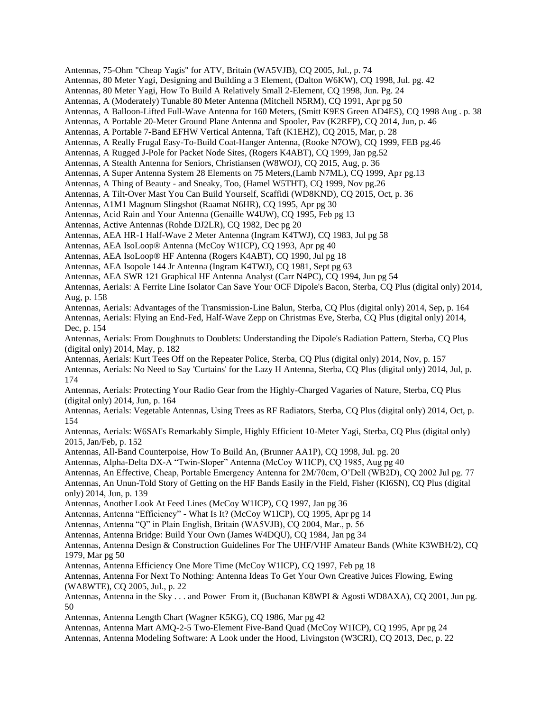Antennas, 75-Ohm "Cheap Yagis" for ATV, Britain (WA5VJB), CQ 2005, Jul., p. 74

Antennas, 80 Meter Yagi, Designing and Building a 3 Element, (Dalton W6KW), CQ 1998, Jul. pg. 42

Antennas, 80 Meter Yagi, How To Build A Relatively Small 2-Element, CQ 1998, Jun. Pg. 24

Antennas, A (Moderately) Tunable 80 Meter Antenna (Mitchell N5RM), CQ 1991, Apr pg 50

Antennas, A Balloon-Lifted Full-Wave Antenna for 160 Meters, (Smitt K9ES Green AD4ES), CQ 1998 Aug . p. 38

Antennas, A Portable 20-Meter Ground Plane Antenna and Spooler, Pav (K2RFP), CQ 2014, Jun, p. 46

Antennas, A Portable 7-Band EFHW Vertical Antenna, Taft (K1EHZ), CQ 2015, Mar, p. 28

Antennas, A Really Frugal Easy-To-Build Coat-Hanger Antenna, (Rooke N7OW), CQ 1999, FEB pg.46

Antennas, A Rugged J-Pole for Packet Node Sites, (Rogers K4ABT), CQ 1999, Jan pg.52

Antennas, A Stealth Antenna for Seniors, Christiansen (W8WOJ), CQ 2015, Aug, p. 36

Antennas, A Super Antenna System 28 Elements on 75 Meters,(Lamb N7ML), CQ 1999, Apr pg.13

Antennas, A Thing of Beauty - and Sneaky, Too, (Hamel W5THT), CQ 1999, Nov pg.26

Antennas, A Tilt-Over Mast You Can Build Yourself, Scaffidi (WD8KND), CQ 2015, Oct, p. 36

Antennas, A1M1 Magnum Slingshot (Raamat N6HR), CQ 1995, Apr pg 30

Antennas, Acid Rain and Your Antenna (Genaille W4UW), CQ 1995, Feb pg 13

Antennas, Active Antennas (Rohde DJ2LR), CQ 1982, Dec pg 20

Antennas, AEA HR-1 Half-Wave 2 Meter Antenna (Ingram K4TWJ), CQ 1983, Jul pg 58

Antennas, AEA IsoLoop® Antenna (McCoy W1ICP), CQ 1993, Apr pg 40

Antennas, AEA IsoLoop® HF Antenna (Rogers K4ABT), CQ 1990, Jul pg 18

Antennas, AEA Isopole 144 Jr Antenna (Ingram K4TWJ), CQ 1981, Sept pg 63

Antennas, AEA SWR 121 Graphical HF Antenna Analyst (Carr N4PC), CQ 1994, Jun pg 54

Antennas, Aerials: A Ferrite Line Isolator Can Save Your OCF Dipole's Bacon, Sterba, CQ Plus (digital only) 2014, Aug, p. 158

Antennas, Aerials: Advantages of the Transmission-Line Balun, Sterba, CQ Plus (digital only) 2014, Sep, p. 164 Antennas, Aerials: Flying an End-Fed, Half-Wave Zepp on Christmas Eve, Sterba, CQ Plus (digital only) 2014, Dec, p. 154

Antennas, Aerials: From Doughnuts to Doublets: Understanding the Dipole's Radiation Pattern, Sterba, CQ Plus (digital only) 2014, May, p. 182

Antennas, Aerials: Kurt Tees Off on the Repeater Police, Sterba, CQ Plus (digital only) 2014, Nov, p. 157 Antennas, Aerials: No Need to Say 'Curtains' for the Lazy H Antenna, Sterba, CQ Plus (digital only) 2014, Jul, p.

174 Antennas, Aerials: Protecting Your Radio Gear from the Highly-Charged Vagaries of Nature, Sterba, CQ Plus (digital only) 2014, Jun, p. 164

Antennas, Aerials: Vegetable Antennas, Using Trees as RF Radiators, Sterba, CQ Plus (digital only) 2014, Oct, p. 154

Antennas, Aerials: W6SAI's Remarkably Simple, Highly Efficient 10-Meter Yagi, Sterba, CQ Plus (digital only) 2015, Jan/Feb, p. 152

Antennas, All-Band Counterpoise, How To Build An, (Brunner AA1P), CQ 1998, Jul. pg. 20

Antennas, Alpha-Delta DX-A "Twin-Sloper" Antenna (McCoy W1ICP), CQ 1985, Aug pg 40

Antennas, An Effective, Cheap, Portable Emergency Antenna for 2M/70cm, O'Dell (WB2D), CQ 2002 Jul pg. 77 Antennas, An Unun-Told Story of Getting on the HF Bands Easily in the Field, Fisher (KI6SN), CQ Plus (digital only) 2014, Jun, p. 139

Antennas, Another Look At Feed Lines (McCoy W1ICP), CQ 1997, Jan pg 36

Antennas, Antenna "Efficiency" - What Is It? (McCoy W1ICP), CQ 1995, Apr pg 14

Antennas, Antenna "Q" in Plain English, Britain (WA5VJB), CQ 2004, Mar., p. 56

Antennas, Antenna Bridge: Build Your Own (James W4DQU), CQ 1984, Jan pg 34

Antennas, Antenna Design & Construction Guidelines For The UHF/VHF Amateur Bands (White K3WBH/2), CQ 1979, Mar pg 50

Antennas, Antenna Efficiency One More Time (McCoy W1ICP), CQ 1997, Feb pg 18

Antennas, Antenna For Next To Nothing: Antenna Ideas To Get Your Own Creative Juices Flowing, Ewing (WA8WTE), CQ 2005, Jul., p. 22

Antennas, Antenna in the Sky . . . and Power From it, (Buchanan K8WPI & Agosti WD8AXA), CQ 2001, Jun pg. 50

Antennas, Antenna Length Chart (Wagner K5KG), CQ 1986, Mar pg 42

Antennas, Antenna Mart AMQ-2-5 Two-Element Five-Band Quad (McCoy W1ICP), CQ 1995, Apr pg 24

Antennas, Antenna Modeling Software: A Look under the Hood, Livingston (W3CRI), CQ 2013, Dec, p. 22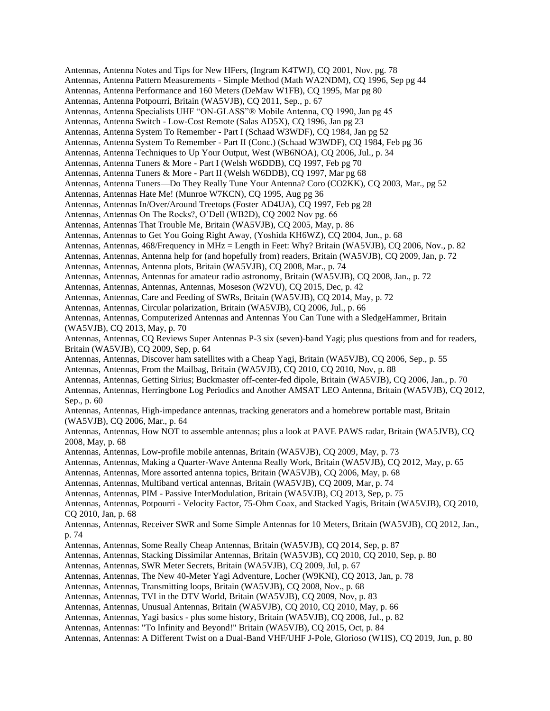Antennas, Antenna Notes and Tips for New HFers, (Ingram K4TWJ), CQ 2001, Nov. pg. 78 Antennas, Antenna Pattern Measurements - Simple Method (Math WA2NDM), CQ 1996, Sep pg 44 Antennas, Antenna Performance and 160 Meters (DeMaw W1FB), CQ 1995, Mar pg 80 Antennas, Antenna Potpourri, Britain (WA5VJB), CQ 2011, Sep., p. 67 Antennas, Antenna Specialists UHF "ON-GLASS"® Mobile Antenna, CQ 1990, Jan pg 45 Antennas, Antenna Switch - Low-Cost Remote (Salas AD5X), CQ 1996, Jan pg 23 Antennas, Antenna System To Remember - Part I (Schaad W3WDF), CQ 1984, Jan pg 52 Antennas, Antenna System To Remember - Part II (Conc.) (Schaad W3WDF), CQ 1984, Feb pg 36 Antennas, Antenna Techniques to Up Your Output, West (WB6NOA), CQ 2006, Jul., p. 34 Antennas, Antenna Tuners & More - Part I (Welsh W6DDB), CQ 1997, Feb pg 70 Antennas, Antenna Tuners & More - Part II (Welsh W6DDB), CQ 1997, Mar pg 68 Antennas, Antenna Tuners—Do They Really Tune Your Antenna? Coro (CO2KK), CQ 2003, Mar., pg 52 Antennas, Antennas Hate Me! (Munroe W7KCN), CQ 1995, Aug pg 36 Antennas, Antennas In/Over/Around Treetops (Foster AD4UA), CQ 1997, Feb pg 28 Antennas, Antennas On The Rocks?, O'Dell (WB2D), CQ 2002 Nov pg. 66 Antennas, Antennas That Trouble Me, Britain (WA5VJB), CQ 2005, May, p. 86 Antennas, Antennas to Get You Going Right Away, (Yoshida KH6WZ), CQ 2004, Jun., p. 68 Antennas, Antennas, 468/Frequency in MHz = Length in Feet: Why? Britain (WA5VJB), CQ 2006, Nov., p. 82 Antennas, Antennas, Antenna help for (and hopefully from) readers, Britain (WA5VJB), CQ 2009, Jan, p. 72 Antennas, Antennas, Antenna plots, Britain (WA5VJB), CQ 2008, Mar., p. 74 Antennas, Antennas, Antennas for amateur radio astronomy, Britain (WA5VJB), CQ 2008, Jan., p. 72 Antennas, Antennas, Antennas, Antennas, Moseson (W2VU), CQ 2015, Dec, p. 42 Antennas, Antennas, Care and Feeding of SWRs, Britain (WA5VJB), CQ 2014, May, p. 72 Antennas, Antennas, Circular polarization, Britain (WA5VJB), CQ 2006, Jul., p. 66 Antennas, Antennas, Computerized Antennas and Antennas You Can Tune with a SledgeHammer, Britain (WA5VJB), CQ 2013, May, p. 70 Antennas, Antennas, CQ Reviews Super Antennas P-3 six (seven)-band Yagi; plus questions from and for readers, Britain (WA5VJB), CQ 2009, Sep, p. 64 Antennas, Antennas, Discover ham satellites with a Cheap Yagi, Britain (WA5VJB), CQ 2006, Sep., p. 55 Antennas, Antennas, From the Mailbag, Britain (WA5VJB), CQ 2010, CQ 2010, Nov, p. 88 Antennas, Antennas, Getting Sirius; Buckmaster off-center-fed dipole, Britain (WA5VJB), CQ 2006, Jan., p. 70 Antennas, Antennas, Herringbone Log Periodics and Another AMSAT LEO Antenna, Britain (WA5VJB), CQ 2012, Sep., p. 60 Antennas, Antennas, High-impedance antennas, tracking generators and a homebrew portable mast, Britain (WA5VJB), CQ 2006, Mar., p. 64 Antennas, Antennas, How NOT to assemble antennas; plus a look at PAVE PAWS radar, Britain (WA5JVB), CQ 2008, May, p. 68 Antennas, Antennas, Low-profile mobile antennas, Britain (WA5VJB), CQ 2009, May, p. 73 Antennas, Antennas, Making a Quarter-Wave Antenna Really Work, Britain (WA5VJB), CQ 2012, May, p. 65 Antennas, Antennas, More assorted antenna topics, Britain (WA5VJB), CQ 2006, May, p. 68 Antennas, Antennas, Multiband vertical antennas, Britain (WA5VJB), CQ 2009, Mar, p. 74 Antennas, Antennas, PIM - Passive InterModulation, Britain (WA5VJB), CQ 2013, Sep, p. 75 Antennas, Antennas, Potpourri - Velocity Factor, 75-Ohm Coax, and Stacked Yagis, Britain (WA5VJB), CQ 2010, CQ 2010, Jan, p. 68 Antennas, Antennas, Receiver SWR and Some Simple Antennas for 10 Meters, Britain (WA5VJB), CQ 2012, Jan., p. 74 Antennas, Antennas, Some Really Cheap Antennas, Britain (WA5VJB), CQ 2014, Sep, p. 87 Antennas, Antennas, Stacking Dissimilar Antennas, Britain (WA5VJB), CQ 2010, CQ 2010, Sep, p. 80 Antennas, Antennas, SWR Meter Secrets, Britain (WA5VJB), CQ 2009, Jul, p. 67 Antennas, Antennas, The New 40-Meter Yagi Adventure, Locher (W9KNI), CQ 2013, Jan, p. 78 Antennas, Antennas, Transmitting loops, Britain (WA5VJB), CQ 2008, Nov., p. 68 Antennas, Antennas, TVI in the DTV World, Britain (WA5VJB), CQ 2009, Nov, p. 83 Antennas, Antennas, Unusual Antennas, Britain (WA5VJB), CQ 2010, CQ 2010, May, p. 66 Antennas, Antennas, Yagi basics - plus some history, Britain (WA5VJB), CQ 2008, Jul., p. 82 Antennas, Antennas: "To Infinity and Beyond!" Britain (WA5VJB), CQ 2015, Oct, p. 84 Antennas, Antennas: A Different Twist on a Dual-Band VHF/UHF J-Pole, Glorioso (W1IS), CQ 2019, Jun, p. 80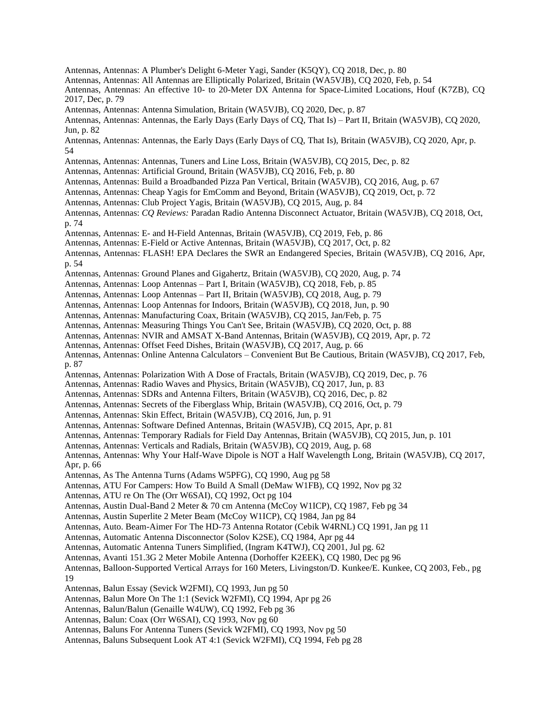- Antennas, Antennas: A Plumber's Delight 6-Meter Yagi, Sander (K5QY), CQ 2018, Dec, p. 80
- Antennas, Antennas: All Antennas are Elliptically Polarized, Britain (WA5VJB), CQ 2020, Feb, p. 54
- Antennas, Antennas: An effective 10- to 20-Meter DX Antenna for Space-Limited Locations, Houf (K7ZB), CQ 2017, Dec, p. 79
- Antennas, Antennas: Antenna Simulation, Britain (WA5VJB), CQ 2020, Dec, p. 87
- Antennas, Antennas: Antennas, the Early Days (Early Days of CQ, That Is) Part II, Britain (WA5VJB), CQ 2020, Jun, p. 82
- Antennas, Antennas: Antennas, the Early Days (Early Days of CQ, That Is), Britain (WA5VJB), CQ 2020, Apr, p. 54
- Antennas, Antennas: Antennas, Tuners and Line Loss, Britain (WA5VJB), CQ 2015, Dec, p. 82
- Antennas, Antennas: Artificial Ground, Britain (WA5VJB), CQ 2016, Feb, p. 80
- Antennas, Antennas: Build a Broadbanded Pizza Pan Vertical, Britain (WA5VJB), CQ 2016, Aug, p. 67
- Antennas, Antennas: Cheap Yagis for EmComm and Beyond, Britain (WA5VJB), CQ 2019, Oct, p. 72
- Antennas, Antennas: Club Project Yagis, Britain (WA5VJB), CQ 2015, Aug, p. 84
- Antennas, Antennas: *CQ Reviews:* Paradan Radio Antenna Disconnect Actuator, Britain (WA5VJB), CQ 2018, Oct, p. 74
- Antennas, Antennas: E- and H-Field Antennas, Britain (WA5VJB), CQ 2019, Feb, p. 86
- Antennas, Antennas: E-Field or Active Antennas, Britain (WA5VJB), CQ 2017, Oct, p. 82
- Antennas, Antennas: FLASH! EPA Declares the SWR an Endangered Species, Britain (WA5VJB), CQ 2016, Apr, p. 54
- Antennas, Antennas: Ground Planes and Gigahertz, Britain (WA5VJB), CQ 2020, Aug, p. 74
- Antennas, Antennas: Loop Antennas Part I, Britain (WA5VJB), CQ 2018, Feb, p. 85
- Antennas, Antennas: Loop Antennas Part II, Britain (WA5VJB), CQ 2018, Aug, p. 79
- Antennas, Antennas: Loop Antennas for Indoors, Britain (WA5VJB), CQ 2018, Jun, p. 90
- Antennas, Antennas: Manufacturing Coax, Britain (WA5VJB), CQ 2015, Jan/Feb, p. 75
- Antennas, Antennas: Measuring Things You Can't See, Britain (WA5VJB), CQ 2020, Oct, p. 88
- Antennas, Antennas: NVIR and AMSAT X-Band Antennas, Britain (WA5VJB), CQ 2019, Apr, p. 72
- Antennas, Antennas: Offset Feed Dishes, Britain (WA5VJB), CQ 2017, Aug, p. 66
- Antennas, Antennas: Online Antenna Calculators Convenient But Be Cautious, Britain (WA5VJB), CQ 2017, Feb, p. 87
- Antennas, Antennas: Polarization With A Dose of Fractals, Britain (WA5VJB), CQ 2019, Dec, p. 76
- Antennas, Antennas: Radio Waves and Physics, Britain (WA5VJB), CQ 2017, Jun, p. 83
- Antennas, Antennas: SDRs and Antenna Filters, Britain (WA5VJB), CQ 2016, Dec, p. 82
- Antennas, Antennas: Secrets of the Fiberglass Whip, Britain (WA5VJB), CQ 2016, Oct, p. 79
- Antennas, Antennas: Skin Effect, Britain (WA5VJB), CQ 2016, Jun, p. 91
- Antennas, Antennas: Software Defined Antennas, Britain (WA5VJB), CQ 2015, Apr, p. 81
- Antennas, Antennas: Temporary Radials for Field Day Antennas, Britain (WA5VJB), CQ 2015, Jun, p. 101
- Antennas, Antennas: Verticals and Radials, Britain (WA5VJB), CQ 2019, Aug, p. 68
- Antennas, Antennas: Why Your Half-Wave Dipole is NOT a Half Wavelength Long, Britain (WA5VJB), CQ 2017, Apr, p. 66
- Antennas, As The Antenna Turns (Adams W5PFG), CQ 1990, Aug pg 58
- Antennas, ATU For Campers: How To Build A Small (DeMaw W1FB), CQ 1992, Nov pg 32
- Antennas, ATU re On The (Orr W6SAI), CQ 1992, Oct pg 104
- Antennas, Austin Dual-Band 2 Meter & 70 cm Antenna (McCoy W1ICP), CQ 1987, Feb pg 34
- Antennas, Austin Superlite 2 Meter Beam (McCoy W1ICP), CQ 1984, Jan pg 84
- Antennas, Auto. Beam-Aimer For The HD-73 Antenna Rotator (Cebik W4RNL) CQ 1991, Jan pg 11
- Antennas, Automatic Antenna Disconnector (Solov K2SE), CQ 1984, Apr pg 44
- Antennas, Automatic Antenna Tuners Simplified, (Ingram K4TWJ), CQ 2001, Jul pg. 62
- Antennas, Avanti 151.3G 2 Meter Mobile Antenna (Dorhoffer K2EEK), CQ 1980, Dec pg 96
- Antennas, Balloon-Supported Vertical Arrays for 160 Meters, Livingston/D. Kunkee/E. Kunkee, CQ 2003, Feb., pg 19
- Antennas, Balun Essay (Sevick W2FMI), CQ 1993, Jun pg 50
- Antennas, Balun More On The 1:1 (Sevick W2FMI), CQ 1994, Apr pg 26
- Antennas, Balun/Balun (Genaille W4UW), CQ 1992, Feb pg 36
- Antennas, Balun: Coax (Orr W6SAI), CQ 1993, Nov pg 60
- Antennas, Baluns For Antenna Tuners (Sevick W2FMI), CQ 1993, Nov pg 50
- Antennas, Baluns Subsequent Look AT 4:1 (Sevick W2FMI), CQ 1994, Feb pg 28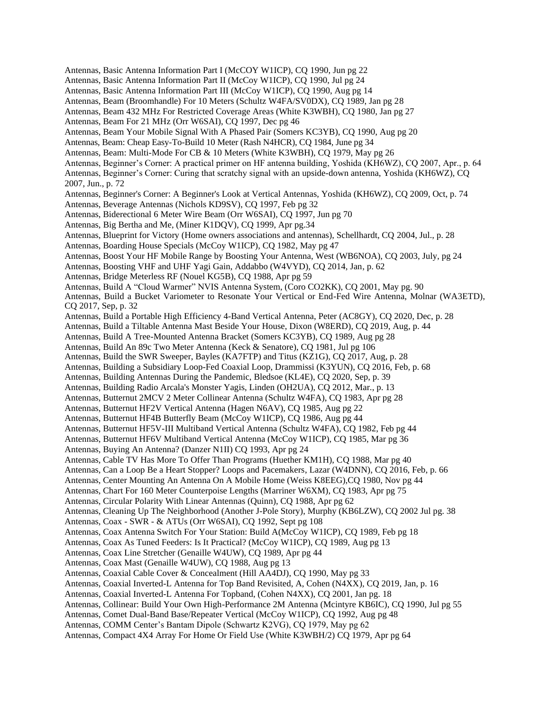Antennas, Basic Antenna Information Part I (McCOY W1ICP), CQ 1990, Jun pg 22 Antennas, Basic Antenna Information Part II (McCoy W1ICP), CQ 1990, Jul pg 24 Antennas, Basic Antenna Information Part III (McCoy W1ICP), CQ 1990, Aug pg 14 Antennas, Beam (Broomhandle) For 10 Meters (Schultz W4FA/SV0DX), CQ 1989, Jan pg 28 Antennas, Beam 432 MHz For Restricted Coverage Areas (White K3WBH), CQ 1980, Jan pg 27 Antennas, Beam For 21 MHz (Orr W6SAI), CQ 1997, Dec pg 46 Antennas, Beam Your Mobile Signal With A Phased Pair (Somers KC3YB), CQ 1990, Aug pg 20 Antennas, Beam: Cheap Easy-To-Build 10 Meter (Rash N4HCR), CQ 1984, June pg 34 Antennas, Beam: Multi-Mode For CB & 10 Meters (White K3WBH), CQ 1979, May pg 26 Antennas, Beginner's Corner: A practical primer on HF antenna building, Yoshida (KH6WZ), CQ 2007, Apr., p. 64 Antennas, Beginner's Corner: Curing that scratchy signal with an upside-down antenna, Yoshida (KH6WZ), CQ 2007, Jun., p. 72 Antennas, Beginner's Corner: A Beginner's Look at Vertical Antennas, Yoshida (KH6WZ), CQ 2009, Oct, p. 74 Antennas, Beverage Antennas (Nichols KD9SV), CQ 1997, Feb pg 32 Antennas, Biderectional 6 Meter Wire Beam (Orr W6SAI), CQ 1997, Jun pg 70 Antennas, Big Bertha and Me, (Miner K1DQV), CQ 1999, Apr pg.34 Antennas, Blueprint for Victory (Home owners associations and antennas), Schellhardt, CQ 2004, Jul., p. 28 Antennas, Boarding House Specials (McCoy W1ICP), CQ 1982, May pg 47 Antennas, Boost Your HF Mobile Range by Boosting Your Antenna, West (WB6NOA), CQ 2003, July, pg 24 Antennas, Boosting VHF and UHF Yagi Gain, Addabbo (W4VYD), CQ 2014, Jan, p. 62 Antennas, Bridge Meterless RF (Nouel KG5B), CQ 1988, Apr pg 59 Antennas, Build A "Cloud Warmer" NVIS Antenna System, (Coro CO2KK), CQ 2001, May pg. 90 Antennas, Build a Bucket Variometer to Resonate Your Vertical or End-Fed Wire Antenna, Molnar (WA3ETD), CQ 2017, Sep, p. 32 Antennas, Build a Portable High Efficiency 4-Band Vertical Antenna, Peter (AC8GY), CQ 2020, Dec, p. 28 Antennas, Build a Tiltable Antenna Mast Beside Your House, Dixon (W8ERD), CQ 2019, Aug, p. 44 Antennas, Build A Tree-Mounted Antenna Bracket (Somers KC3YB), CQ 1989, Aug pg 28 Antennas, Build An 89c Two Meter Antenna (Keck & Senatore), CQ 1981, Jul pg 106 Antennas, Build the SWR Sweeper, Bayles (KA7FTP) and Titus (KZ1G), CQ 2017, Aug, p. 28 Antennas, Building a Subsidiary Loop-Fed Coaxial Loop, Drammissi (K3YUN), CQ 2016, Feb, p. 68 Antennas, Building Antennas During the Pandemic, Bledsoe (KL4E), CQ 2020, Sep, p. 39 Antennas, Building Radio Arcala's Monster Yagis, Linden (OH2UA), CQ 2012, Mar., p. 13 Antennas, Butternut 2MCV 2 Meter Collinear Antenna (Schultz W4FA), CQ 1983, Apr pg 28 Antennas, Butternut HF2V Vertical Antenna (Hagen N6AV), CQ 1985, Aug pg 22 Antennas, Butternut HF4B Butterfly Beam (McCoy W1ICP), CQ 1986, Aug pg 44 Antennas, Butternut HF5V-III Multiband Vertical Antenna (Schultz W4FA), CQ 1982, Feb pg 44 Antennas, Butternut HF6V Multiband Vertical Antenna (McCoy W1ICP), CQ 1985, Mar pg 36 Antennas, Buying An Antenna? (Danzer N1II) CQ 1993, Apr pg 24 Antennas, Cable TV Has More To Offer Than Programs (Huether KM1H), CQ 1988, Mar pg 40 Antennas, Can a Loop Be a Heart Stopper? Loops and Pacemakers, Lazar (W4DNN), CQ 2016, Feb, p. 66 Antennas, Center Mounting An Antenna On A Mobile Home (Weiss K8EEG),CQ 1980, Nov pg 44 Antennas, Chart For 160 Meter Counterpoise Lengths (Marriner W6XM), CQ 1983, Apr pg 75 Antennas, Circular Polarity With Linear Antennas (Quinn), CQ 1988, Apr pg 62 Antennas, Cleaning Up The Neighborhood (Another J-Pole Story), Murphy (KB6LZW), CQ 2002 Jul pg. 38 Antennas, Coax - SWR - & ATUs (Orr W6SAI), CQ 1992, Sept pg 108 Antennas, Coax Antenna Switch For Your Station: Build A(McCoy W1ICP), CQ 1989, Feb pg 18 Antennas, Coax As Tuned Feeders: Is It Practical? (McCoy W1ICP), CQ 1989, Aug pg 13 Antennas, Coax Line Stretcher (Genaille W4UW), CQ 1989, Apr pg 44 Antennas, Coax Mast (Genaille W4UW), CQ 1988, Aug pg 13 Antennas, Coaxial Cable Cover & Concealment (Hill AA4DJ), CQ 1990, May pg 33 Antennas, Coaxial Inverted-L Antenna for Top Band Revisited, A, Cohen (N4XX), CQ 2019, Jan, p. 16 Antennas, Coaxial Inverted-L Antenna For Topband, (Cohen N4XX), CQ 2001, Jan pg. 18 Antennas, Collinear: Build Your Own High-Performance 2M Antenna (Mcintyre KB6IC), CQ 1990, Jul pg 55 Antennas, Comet Dual-Band Base/Repeater Vertical (McCoy W1ICP), CQ 1992, Aug pg 48 Antennas, COMM Center's Bantam Dipole (Schwartz K2VG), CQ 1979, May pg 62 Antennas, Compact 4X4 Array For Home Or Field Use (White K3WBH/2) CQ 1979, Apr pg 64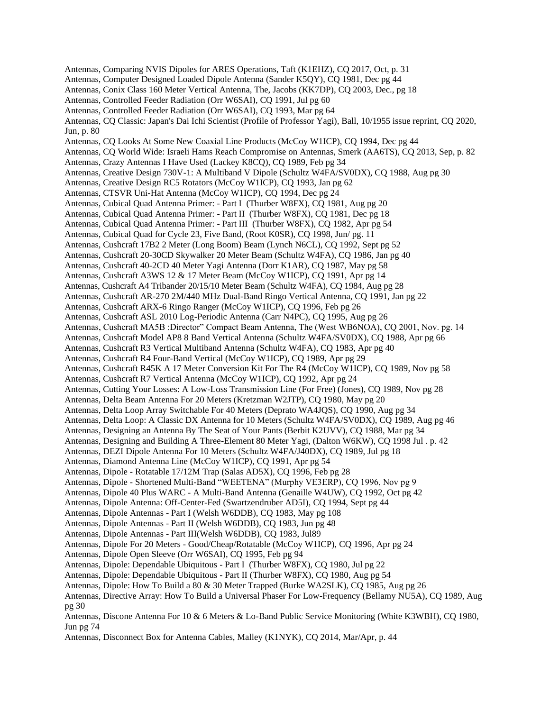Antennas, Comparing NVIS Dipoles for ARES Operations, Taft (K1EHZ), CQ 2017, Oct, p. 31 Antennas, Computer Designed Loaded Dipole Antenna (Sander K5QY), CQ 1981, Dec pg 44 Antennas, Conix Class 160 Meter Vertical Antenna, The, Jacobs (KK7DP), CQ 2003, Dec., pg 18 Antennas, Controlled Feeder Radiation (Orr W6SAI), CQ 1991, Jul pg 60 Antennas, Controlled Feeder Radiation (Orr W6SAI), CQ 1993, Mar pg 64 Antennas, CQ Classic: Japan's Dai Ichi Scientist (Profile of Professor Yagi), Ball, 10/1955 issue reprint, CQ 2020, Jun, p. 80 Antennas, CQ Looks At Some New Coaxial Line Products (McCoy W1ICP), CQ 1994, Dec pg 44 Antennas, CQ World Wide: Israeli Hams Reach Compromise on Antennas, Smerk (AA6TS), CQ 2013, Sep, p. 82 Antennas, Crazy Antennas I Have Used (Lackey K8CQ), CQ 1989, Feb pg 34 Antennas, Creative Design 730V-1: A Multiband V Dipole (Schultz W4FA/SV0DX), CQ 1988, Aug pg 30 Antennas, Creative Design RC5 Rotators (McCoy W1ICP), CQ 1993, Jan pg 62 Antennas, CTSVR Uni-Hat Antenna (McCoy W1ICP), CQ 1994, Dec pg 24 Antennas, Cubical Quad Antenna Primer: - Part I (Thurber W8FX), CQ 1981, Aug pg 20 Antennas, Cubical Quad Antenna Primer: - Part II (Thurber W8FX), CQ 1981, Dec pg 18 Antennas, Cubical Quad Antenna Primer: - Part III (Thurber W8FX), CQ 1982, Apr pg 54 Antennas, Cubical Quad for Cycle 23, Five Band, (Root K0SR), CQ 1998, Jun/ pg. 11 Antennas, Cushcraft 17B2 2 Meter (Long Boom) Beam (Lynch N6CL), CQ 1992, Sept pg 52 Antennas, Cushcraft 20-30CD Skywalker 20 Meter Beam (Schultz W4FA), CQ 1986, Jan pg 40 Antennas, Cushcraft 40-2CD 40 Meter Yagi Antenna (Dorr K1AR), CQ 1987, May pg 58 Antennas, Cushcraft A3WS 12 & 17 Meter Beam (McCoy W1ICP), CQ 1991, Apr pg 14 Antennas, Cushcraft A4 Tribander 20/15/10 Meter Beam (Schultz W4FA), CQ 1984, Aug pg 28 Antennas, Cushcraft AR-270 2M/440 MHz Dual-Band Ringo Vertical Antenna, CQ 1991, Jan pg 22 Antennas, Cushcraft ARX-6 Ringo Ranger (McCoy W1ICP), CQ 1996, Feb pg 26 Antennas, Cushcraft ASL 2010 Log-Periodic Antenna (Carr N4PC), CQ 1995, Aug pg 26 Antennas, Cushcraft MA5B :Director" Compact Beam Antenna, The (West WB6NOA), CQ 2001, Nov. pg. 14 Antennas, Cushcraft Model AP8 8 Band Vertical Antenna (Schultz W4FA/SV0DX), CQ 1988, Apr pg 66 Antennas, Cushcraft R3 Vertical Multiband Antenna (Schultz W4FA), CQ 1983, Apr pg 40 Antennas, Cushcraft R4 Four-Band Vertical (McCoy W1ICP), CQ 1989, Apr pg 29 Antennas, Cushcraft R45K A 17 Meter Conversion Kit For The R4 (McCoy W1ICP), CQ 1989, Nov pg 58 Antennas, Cushcraft R7 Vertical Antenna (McCoy W1ICP), CQ 1992, Apr pg 24 Antennas, Cutting Your Losses: A Low-Loss Transmission Line (For Free) (Jones), CQ 1989, Nov pg 28 Antennas, Delta Beam Antenna For 20 Meters (Kretzman W2JTP), CQ 1980, May pg 20 Antennas, Delta Loop Array Switchable For 40 Meters (Deprato WA4JQS), CQ 1990, Aug pg 34 Antennas, Delta Loop: A Classic DX Antenna for 10 Meters (Schultz W4FA/SV0DX), CQ 1989, Aug pg 46 Antennas, Designing an Antenna By The Seat of Your Pants (Berbit K2UVV), CQ 1988, Mar pg 34 Antennas, Designing and Building A Three-Element 80 Meter Yagi, (Dalton W6KW), CQ 1998 Jul . p. 42 Antennas, DEZI Dipole Antenna For 10 Meters (Schultz W4FA/J40DX), CQ 1989, Jul pg 18 Antennas, Diamond Antenna Line (McCoy W1ICP), CQ 1991, Apr pg 54 Antennas, Dipole - Rotatable 17/12M Trap (Salas AD5X), CQ 1996, Feb pg 28 Antennas, Dipole - Shortened Multi-Band "WEETENA" (Murphy VE3ERP), CQ 1996, Nov pg 9 Antennas, Dipole 40 Plus WARC - A Multi-Band Antenna (Genaille W4UW), CQ 1992, Oct pg 42 Antennas, Dipole Antenna: Off-Center-Fed (Swartzendruber AD5I), CQ 1994, Sept pg 44 Antennas, Dipole Antennas - Part I (Welsh W6DDB), CQ 1983, May pg 108 Antennas, Dipole Antennas - Part II (Welsh W6DDB), CQ 1983, Jun pg 48 Antennas, Dipole Antennas - Part III(Welsh W6DDB), CQ 1983, Jul89 Antennas, Dipole For 20 Meters - Good/Cheap/Rotatable (McCoy W1ICP), CQ 1996, Apr pg 24 Antennas, Dipole Open Sleeve (Orr W6SAI), CQ 1995, Feb pg 94 Antennas, Dipole: Dependable Ubiquitous - Part I (Thurber W8FX), CQ 1980, Jul pg 22 Antennas, Dipole: Dependable Ubiquitous - Part II (Thurber W8FX), CQ 1980, Aug pg 54 Antennas, Dipole: How To Build a 80 & 30 Meter Trapped (Burke WA2SLK), CQ 1985, Aug pg 26 Antennas, Directive Array: How To Build a Universal Phaser For Low-Frequency (Bellamy NU5A), CQ 1989, Aug pg 30 Antennas, Discone Antenna For 10 & 6 Meters & Lo-Band Public Service Monitoring (White K3WBH), CQ 1980, Jun pg 74

Antennas, Disconnect Box for Antenna Cables, Malley (K1NYK), CQ 2014, Mar/Apr, p. 44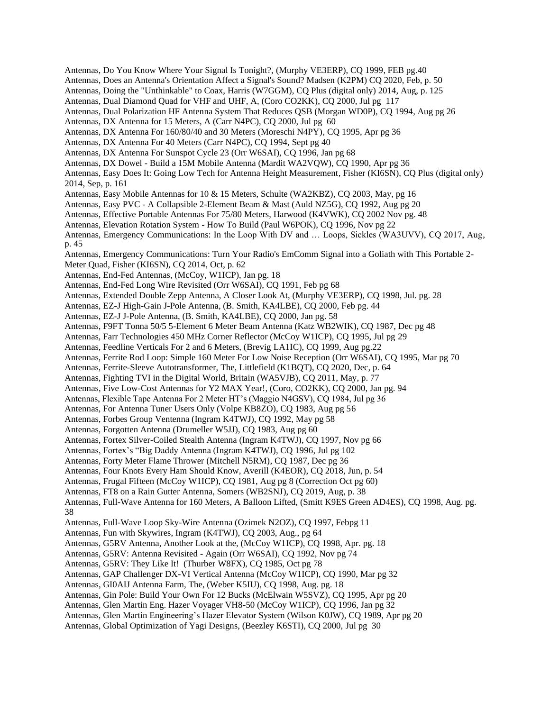Antennas, Do You Know Where Your Signal Is Tonight?, (Murphy VE3ERP), CQ 1999, FEB pg.40 Antennas, Does an Antenna's Orientation Affect a Signal's Sound? Madsen (K2PM) CQ 2020, Feb, p. 50 Antennas, Doing the "Unthinkable" to Coax, Harris (W7GGM), CQ Plus (digital only) 2014, Aug, p. 125 Antennas, Dual Diamond Quad for VHF and UHF, A, (Coro CO2KK), CQ 2000, Jul pg 117 Antennas, Dual Polarization HF Antenna System That Reduces QSB (Morgan WD0P), CQ 1994, Aug pg 26 Antennas, DX Antenna for 15 Meters, A (Carr N4PC), CQ 2000, Jul pg 60 Antennas, DX Antenna For 160/80/40 and 30 Meters (Moreschi N4PY), CQ 1995, Apr pg 36 Antennas, DX Antenna For 40 Meters (Carr N4PC), CQ 1994, Sept pg 40 Antennas, DX Antenna For Sunspot Cycle 23 (Orr W6SAI), CQ 1996, Jan pg 68 Antennas, DX Dowel - Build a 15M Mobile Antenna (Mardit WA2VQW), CQ 1990, Apr pg 36 Antennas, Easy Does It: Going Low Tech for Antenna Height Measurement, Fisher (KI6SN), CQ Plus (digital only) 2014, Sep, p. 161 Antennas, Easy Mobile Antennas for 10 & 15 Meters, Schulte (WA2KBZ), CQ 2003, May, pg 16 Antennas, Easy PVC - A Collapsible 2-Element Beam & Mast (Auld NZ5G), CQ 1992, Aug pg 20 Antennas, Effective Portable Antennas For 75/80 Meters, Harwood (K4VWK), CQ 2002 Nov pg. 48 Antennas, Elevation Rotation System - How To Build (Paul W6POK), CQ 1996, Nov pg 22 Antennas, Emergency Communications: In the Loop With DV and … Loops, Sickles (WA3UVV), CQ 2017, Aug, p. 45 Antennas, Emergency Communications: Turn Your Radio's EmComm Signal into a Goliath with This Portable 2- Meter Quad, Fisher (KI6SN), CQ 2014, Oct, p. 62 Antennas, End-Fed Antennas, (McCoy, W1ICP), Jan pg. 18 Antennas, End-Fed Long Wire Revisited (Orr W6SAI), CQ 1991, Feb pg 68 Antennas, Extended Double Zepp Antenna, A Closer Look At, (Murphy VE3ERP), CQ 1998, Jul. pg. 28 Antennas, EZ-J High-Gain J-Pole Antenna, (B. Smith, KA4LBE), CQ 2000, Feb pg. 44 Antennas, EZ-J J-Pole Antenna, (B. Smith, KA4LBE), CQ 2000, Jan pg. 58 Antennas, F9FT Tonna 50/5 5-Element 6 Meter Beam Antenna (Katz WB2WIK), CQ 1987, Dec pg 48 Antennas, Farr Technologies 450 MHz Corner Reflector (McCoy W1ICP), CQ 1995, Jul pg 29 Antennas, Feedline Verticals For 2 and 6 Meters, (Brevig LA1IC), CQ 1999, Aug pg.22 Antennas, Ferrite Rod Loop: Simple 160 Meter For Low Noise Reception (Orr W6SAI), CQ 1995, Mar pg 70 Antennas, Ferrite-Sleeve Autotransformer, The, Littlefield (K1BQT), CQ 2020, Dec, p. 64 Antennas, Fighting TVI in the Digital World, Britain (WA5VJB), CQ 2011, May, p. 77 Antennas, Five Low-Cost Antennas for Y2 MAX Year!, (Coro, CO2KK), CQ 2000, Jan pg. 94 Antennas, Flexible Tape Antenna For 2 Meter HT's (Maggio N4GSV), CQ 1984, Jul pg 36 Antennas, For Antenna Tuner Users Only (Volpe KB8ZO), CQ 1983, Aug pg 56 Antennas, Forbes Group Ventenna (Ingram K4TWJ), CQ 1992, May pg 58 Antennas, Forgotten Antenna (Drumeller W5JJ), CQ 1983, Aug pg 60 Antennas, Fortex Silver-Coiled Stealth Antenna (Ingram K4TWJ), CQ 1997, Nov pg 66 Antennas, Fortex's "Big Daddy Antenna (Ingram K4TWJ), CQ 1996, Jul pg 102 Antennas, Forty Meter Flame Thrower (Mitchell N5RM), CQ 1987, Dec pg 36 Antennas, Four Knots Every Ham Should Know, Averill (K4EOR), CQ 2018, Jun, p. 54 Antennas, Frugal Fifteen (McCoy W1ICP), CQ 1981, Aug pg 8 (Correction Oct pg 60) Antennas, FT8 on a Rain Gutter Antenna, Somers (WB2SNJ), CQ 2019, Aug, p. 38 Antennas, Full-Wave Antenna for 160 Meters, A Balloon Lifted, (Smitt K9ES Green AD4ES), CQ 1998, Aug. pg. 38 Antennas, Full-Wave Loop Sky-Wire Antenna (Ozimek N2OZ), CQ 1997, Febpg 11 Antennas, Fun with Skywires, Ingram (K4TWJ), CQ 2003, Aug., pg 64 Antennas, G5RV Antenna, Another Look at the, (McCoy W1ICP), CQ 1998, Apr. pg. 18 Antennas, G5RV: Antenna Revisited - Again (Orr W6SAI), CQ 1992, Nov pg 74 Antennas, G5RV: They Like It! (Thurber W8FX), CQ 1985, Oct pg 78 Antennas, GAP Challenger DX-VI Vertical Antenna (McCoy W1ICP), CQ 1990, Mar pg 32 Antennas, GI0AIJ Antenna Farm, The, (Weber K5IU), CQ 1998, Aug. pg. 18 Antennas, Gin Pole: Build Your Own For 12 Bucks (McElwain W5SVZ), CQ 1995, Apr pg 20 Antennas, Glen Martin Eng. Hazer Voyager VH8-50 (McCoy W1ICP), CQ 1996, Jan pg 32 Antennas, Glen Martin Engineering's Hazer Elevator System (Wilson K0JW), CQ 1989, Apr pg 20 Antennas, Global Optimization of Yagi Designs, (Beezley K6STI), CQ 2000, Jul pg 30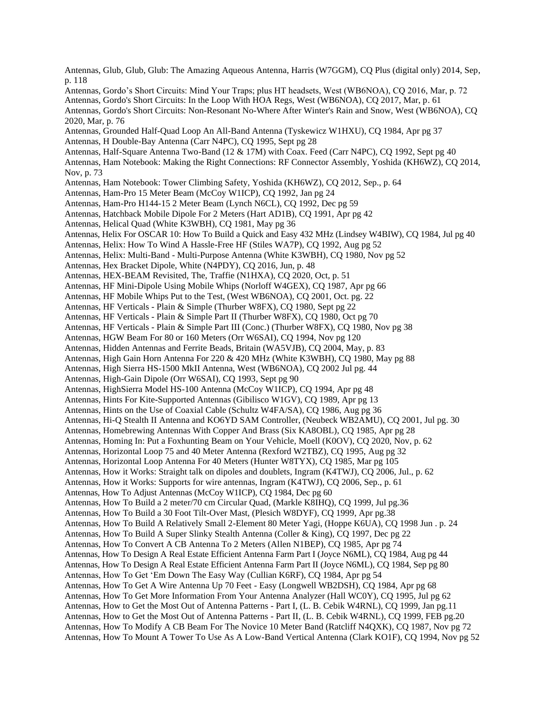Antennas, Glub, Glub, Glub: The Amazing Aqueous Antenna, Harris (W7GGM), CQ Plus (digital only) 2014, Sep, p. 118 Antennas, Gordo's Short Circuits: Mind Your Traps; plus HT headsets, West (WB6NOA), CQ 2016, Mar, p. 72 Antennas, Gordo's Short Circuits: In the Loop With HOA Regs, West (WB6NOA), CQ 2017, Mar, p. 61 Antennas, Gordo's Short Circuits: Non-Resonant No-Where After Winter's Rain and Snow, West (WB6NOA), CQ 2020, Mar, p. 76 Antennas, Grounded Half-Quad Loop An All-Band Antenna (Tyskewicz W1HXU), CQ 1984, Apr pg 37 Antennas, H Double-Bay Antenna (Carr N4PC), CQ 1995, Sept pg 28 Antennas, Half-Square Antenna Two-Band (12 & 17M) with Coax. Feed (Carr N4PC), CQ 1992, Sept pg 40 Antennas, Ham Notebook: Making the Right Connections: RF Connector Assembly, Yoshida (KH6WZ), CQ 2014, Nov, p. 73 Antennas, Ham Notebook: Tower Climbing Safety, Yoshida (KH6WZ), CQ 2012, Sep., p. 64 Antennas, Ham-Pro 15 Meter Beam (McCoy W1ICP), CQ 1992, Jan pg 24 Antennas, Ham-Pro H144-15 2 Meter Beam (Lynch N6CL), CQ 1992, Dec pg 59 Antennas, Hatchback Mobile Dipole For 2 Meters (Hart AD1B), CQ 1991, Apr pg 42 Antennas, Helical Quad (White K3WBH), CQ 1981, May pg 36 Antennas, Helix For OSCAR 10: How To Build a Quick and Easy 432 MHz (Lindsey W4BIW), CQ 1984, Jul pg 40 Antennas, Helix: How To Wind A Hassle-Free HF (Stiles WA7P), CQ 1992, Aug pg 52 Antennas, Helix: Multi-Band - Multi-Purpose Antenna (White K3WBH), CQ 1980, Nov pg 52 Antennas, Hex Bracket Dipole, White (N4PDY), CQ 2016, Jun, p. 48 Antennas, HEX-BEAM Revisited, The, Traffie (N1HXA), CQ 2020, Oct, p. 51 Antennas, HF Mini-Dipole Using Mobile Whips (Norloff W4GEX), CQ 1987, Apr pg 66 Antennas, HF Mobile Whips Put to the Test, (West WB6NOA), CQ 2001, Oct. pg. 22 Antennas, HF Verticals - Plain & Simple (Thurber W8FX), CQ 1980, Sept pg 22 Antennas, HF Verticals - Plain & Simple Part II (Thurber W8FX), CQ 1980, Oct pg 70 Antennas, HF Verticals - Plain & Simple Part III (Conc.) (Thurber W8FX), CQ 1980, Nov pg 38 Antennas, HGW Beam For 80 or 160 Meters (Orr W6SAI), CQ 1994, Nov pg 120 Antennas, Hidden Antennas and Ferrite Beads, Britain (WA5VJB), CQ 2004, May, p. 83 Antennas, High Gain Horn Antenna For 220 & 420 MHz (White K3WBH), CQ 1980, May pg 88 Antennas, High Sierra HS-1500 MkII Antenna, West (WB6NOA), CQ 2002 Jul pg. 44 Antennas, High-Gain Dipole (Orr W6SAI), CQ 1993, Sept pg 90 Antennas, HighSierra Model HS-100 Antenna (McCoy W1ICP), CQ 1994, Apr pg 48 Antennas, Hints For Kite-Supported Antennas (Gibilisco W1GV), CQ 1989, Apr pg 13 Antennas, Hints on the Use of Coaxial Cable (Schultz W4FA/SA), CQ 1986, Aug pg 36 Antennas, Hi-Q Stealth II Antenna and KO6YD SAM Controller, (Neubeck WB2AMU), CQ 2001, Jul pg. 30 Antennas, Homebrewing Antennas With Copper And Brass (Six KA8OBL), CQ 1985, Apr pg 28 Antennas, Homing In: Put a Foxhunting Beam on Your Vehicle, Moell (K0OV), CQ 2020, Nov, p. 62 Antennas, Horizontal Loop 75 and 40 Meter Antenna (Rexford W2TBZ), CQ 1995, Aug pg 32 Antennas, Horizontal Loop Antenna For 40 Meters (Hunter W8TYX), CQ 1985, Mar pg 105 Antennas, How it Works: Straight talk on dipoles and doublets, Ingram (K4TWJ), CQ 2006, Jul., p. 62 Antennas, How it Works: Supports for wire antennas, Ingram (K4TWJ), CQ 2006, Sep., p. 61 Antennas, How To Adjust Antennas (McCoy W1ICP), CQ 1984, Dec pg 60 Antennas, How To Build a 2 meter/70 cm Circular Quad, (Markle K8IHQ), CQ 1999, Jul pg.36 Antennas, How To Build a 30 Foot Tilt-Over Mast, (Plesich W8DYF), CQ 1999, Apr pg.38 Antennas, How To Build A Relatively Small 2-Element 80 Meter Yagi, (Hoppe K6UA), CQ 1998 Jun . p. 24 Antennas, How To Build A Super Slinky Stealth Antenna (Coller & King), CQ 1997, Dec pg 22 Antennas, How To Convert A CB Antenna To 2 Meters (Allen N1BEP), CQ 1985, Apr pg 74 Antennas, How To Design A Real Estate Efficient Antenna Farm Part I (Joyce N6ML), CQ 1984, Aug pg 44 Antennas, How To Design A Real Estate Efficient Antenna Farm Part II (Joyce N6ML), CQ 1984, Sep pg 80 Antennas, How To Get 'Em Down The Easy Way (Cullian K6RF), CQ 1984, Apr pg 54 Antennas, How To Get A Wire Antenna Up 70 Feet - Easy (Longwell WB2DSH), CQ 1984, Apr pg 68 Antennas, How To Get More Information From Your Antenna Analyzer (Hall WC0Y), CQ 1995, Jul pg 62 Antennas, How to Get the Most Out of Antenna Patterns - Part I, (L. B. Cebik W4RNL), CQ 1999, Jan pg.11 Antennas, How to Get the Most Out of Antenna Patterns - Part II, (L. B. Cebik W4RNL), CQ 1999, FEB pg.20 Antennas, How To Modify A CB Beam For The Novice 10 Meter Band (Ratcliff N4QXK), CQ 1987, Nov pg 72 Antennas, How To Mount A Tower To Use As A Low-Band Vertical Antenna (Clark KO1F), CQ 1994, Nov pg 52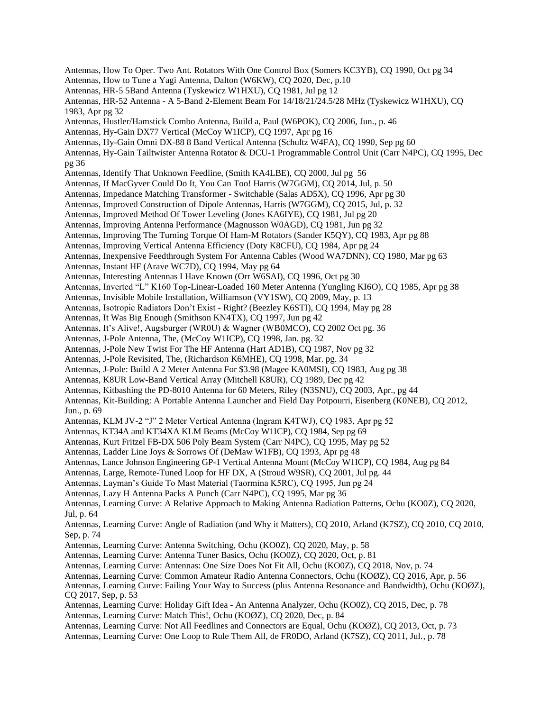Antennas, How To Oper. Two Ant. Rotators With One Control Box (Somers KC3YB), CQ 1990, Oct pg 34 Antennas, How to Tune a Yagi Antenna, Dalton (W6KW), CQ 2020, Dec, p.10 Antennas, HR-5 5Band Antenna (Tyskewicz W1HXU), CQ 1981, Jul pg 12 Antennas, HR-52 Antenna - A 5-Band 2-Element Beam For 14/18/21/24.5/28 MHz (Tyskewicz W1HXU), CQ 1983, Apr pg 32 Antennas, Hustler/Hamstick Combo Antenna, Build a, Paul (W6POK), CQ 2006, Jun., p. 46 Antennas, Hy-Gain DX77 Vertical (McCoy W1ICP), CQ 1997, Apr pg 16 Antennas, Hy-Gain Omni DX-88 8 Band Vertical Antenna (Schultz W4FA), CQ 1990, Sep pg 60 Antennas, Hy-Gain Tailtwister Antenna Rotator & DCU-1 Programmable Control Unit (Carr N4PC), CQ 1995, Dec pg 36 Antennas, Identify That Unknown Feedline, (Smith KA4LBE), CQ 2000, Jul pg 56 Antennas, If MacGyver Could Do It, You Can Too! Harris (W7GGM), CQ 2014, Jul, p. 50 Antennas, Impedance Matching Transformer - Switchable (Salas AD5X), CQ 1996, Apr pg 30 Antennas, Improved Construction of Dipole Antennas, Harris (W7GGM), CQ 2015, Jul, p. 32 Antennas, Improved Method Of Tower Leveling (Jones KA6IYE), CQ 1981, Jul pg 20 Antennas, Improving Antenna Performance (Magnusson W0AGD), CQ 1981, Jun pg 32 Antennas, Improving The Turning Torque Of Ham-M Rotators (Sander K5QY), CQ 1983, Apr pg 88 Antennas, Improving Vertical Antenna Efficiency (Doty K8CFU), CQ 1984, Apr pg 24 Antennas, Inexpensive Feedthrough System For Antenna Cables (Wood WA7DNN), CQ 1980, Mar pg 63 Antennas, Instant HF (Arave WC7D), CQ 1994, May pg 64 Antennas, Interesting Antennas I Have Known (Orr W6SAI), CQ 1996, Oct pg 30 Antennas, Inverted "L" K160 Top-Linear-Loaded 160 Meter Antenna (Yungling KI6O), CQ 1985, Apr pg 38 Antennas, Invisible Mobile Installation, Williamson (VY1SW), CQ 2009, May, p. 13 Antennas, Isotropic Radiators Don't Exist - Right? (Beezley K6STI), CQ 1994, May pg 28 Antennas, It Was Big Enough (Smithson KN4TX), CQ 1997, Jun pg 42 Antennas, It's Alive!, Augsburger (WR0U) & Wagner (WB0MCO), CQ 2002 Oct pg. 36 Antennas, J-Pole Antenna, The, (McCoy W1ICP), CQ 1998, Jan. pg. 32 Antennas, J-Pole New Twist For The HF Antenna (Hart AD1B), CQ 1987, Nov pg 32 Antennas, J-Pole Revisited, The, (Richardson K6MHE), CQ 1998, Mar. pg. 34 Antennas, J-Pole: Build A 2 Meter Antenna For \$3.98 (Magee KA0MSI), CQ 1983, Aug pg 38 Antennas, K8UR Low-Band Vertical Array (Mitchell K8UR), CQ 1989, Dec pg 42 Antennas, Kitbashing the PD-8010 Antenna for 60 Meters, Riley (N3SNU), CQ 2003, Apr., pg 44 Antennas, Kit-Building: A Portable Antenna Launcher and Field Day Potpourri, Eisenberg (K0NEB), CQ 2012, Jun., p. 69 Antennas, KLM JV-2 "J" 2 Meter Vertical Antenna (Ingram K4TWJ), CQ 1983, Apr pg 52 Antennas, KT34A and KT34XA KLM Beams (McCoy W1ICP), CQ 1984, Sep pg 69 Antennas, Kurt Fritzel FB-DX 506 Poly Beam System (Carr N4PC), CQ 1995, May pg 52 Antennas, Ladder Line Joys & Sorrows Of (DeMaw W1FB), CQ 1993, Apr pg 48 Antennas, Lance Johnson Engineering GP-1 Vertical Antenna Mount (McCoy W1ICP), CQ 1984, Aug pg 84 Antennas, Large, Remote-Tuned Loop for HF DX, A (Stroud W9SR), CQ 2001, Jul pg. 44 Antennas, Layman's Guide To Mast Material (Taormina K5RC), CQ 1995, Jun pg 24 Antennas, Lazy H Antenna Packs A Punch (Carr N4PC), CQ 1995, Mar pg 36 Antennas, Learning Curve: A Relative Approach to Making Antenna Radiation Patterns, Ochu (KO0Z), CQ 2020, Jul, p. 64 Antennas, Learning Curve: Angle of Radiation (and Why it Matters), CQ 2010, Arland (K7SZ), CQ 2010, CQ 2010, Sep, p. 74 Antennas, Learning Curve: Antenna Switching, Ochu (KO0Z), CQ 2020, May, p. 58 Antennas, Learning Curve: Antenna Tuner Basics, Ochu (KO0Z), CQ 2020, Oct, p. 81 Antennas, Learning Curve: Antennas: One Size Does Not Fit All, Ochu (KO0Z), CQ 2018, Nov, p. 74 Antennas, Learning Curve: Common Amateur Radio Antenna Connectors, Ochu (KOØZ), CQ 2016, Apr, p. 56 Antennas, Learning Curve: Failing Your Way to Success (plus Antenna Resonance and Bandwidth), Ochu (KOØZ), CQ 2017, Sep, p. 53 Antennas, Learning Curve: Holiday Gift Idea - An Antenna Analyzer, Ochu (KO0Z), CQ 2015, Dec, p. 78 Antennas, Learning Curve: Match This!, Ochu (KOØZ), CQ 2020, Dec, p. 84 Antennas, Learning Curve: Not All Feedlines and Connectors are Equal, Ochu (KOØZ), CQ 2013, Oct, p. 73 Antennas, Learning Curve: One Loop to Rule Them All, de FR0DO, Arland (K7SZ), CQ 2011, Jul., p. 78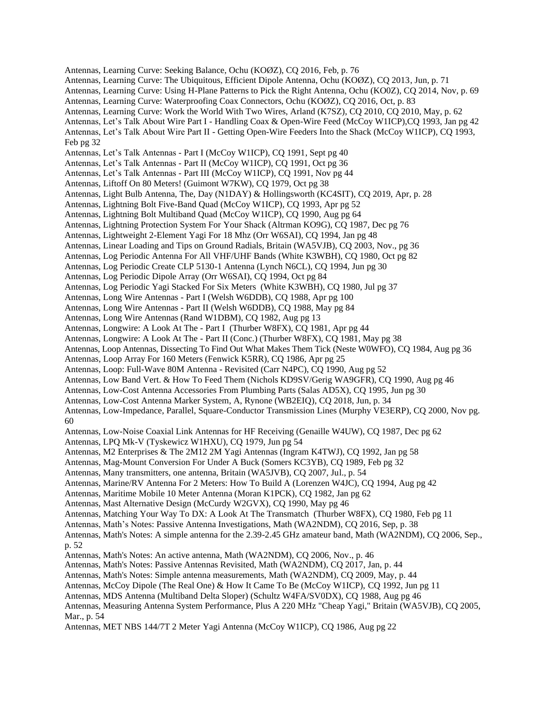Antennas, Learning Curve: Seeking Balance, Ochu (KOØZ), CQ 2016, Feb, p. 76 Antennas, Learning Curve: The Ubiquitous, Efficient Dipole Antenna, Ochu (KOØZ), CQ 2013, Jun, p. 71 Antennas, Learning Curve: Using H-Plane Patterns to Pick the Right Antenna, Ochu (KO0Z), CQ 2014, Nov, p. 69 Antennas, Learning Curve: Waterproofing Coax Connectors, Ochu (KOØZ), CQ 2016, Oct, p. 83 Antennas, Learning Curve: Work the World With Two Wires, Arland (K7SZ), CQ 2010, CQ 2010, May, p. 62 Antennas, Let's Talk About Wire Part I - Handling Coax & Open-Wire Feed (McCoy W1ICP),CQ 1993, Jan pg 42 Antennas, Let's Talk About Wire Part II - Getting Open-Wire Feeders Into the Shack (McCoy W1ICP), CQ 1993, Feb pg 32 Antennas, Let's Talk Antennas - Part I (McCoy W1ICP), CQ 1991, Sept pg 40 Antennas, Let's Talk Antennas - Part II (McCoy W1ICP), CQ 1991, Oct pg 36 Antennas, Let's Talk Antennas - Part III (McCoy W1ICP), CQ 1991, Nov pg 44 Antennas, Liftoff On 80 Meters! (Guimont W7KW), CQ 1979, Oct pg 38 Antennas, Light Bulb Antenna, The, Day (N1DAY) & Hollingsworth (KC4SIT), CQ 2019, Apr, p. 28 Antennas, Lightning Bolt Five-Band Quad (McCoy W1ICP), CQ 1993, Apr pg 52 Antennas, Lightning Bolt Multiband Quad (McCoy W1ICP), CQ 1990, Aug pg 64 Antennas, Lightning Protection System For Your Shack (Altrman KO9G), CQ 1987, Dec pg 76 Antennas, Lightweight 2-Element Yagi For 18 Mhz (Orr W6SAI), CQ 1994, Jan pg 48 Antennas, Linear Loading and Tips on Ground Radials, Britain (WA5VJB), CQ 2003, Nov., pg 36 Antennas, Log Periodic Antenna For All VHF/UHF Bands (White K3WBH), CQ 1980, Oct pg 82 Antennas, Log Periodic Create CLP 5130-1 Antenna (Lynch N6CL), CQ 1994, Jun pg 30 Antennas, Log Periodic Dipole Array (Orr W6SAI), CQ 1994, Oct pg 84 Antennas, Log Periodic Yagi Stacked For Six Meters (White K3WBH), CQ 1980, Jul pg 37 Antennas, Long Wire Antennas - Part I (Welsh W6DDB), CQ 1988, Apr pg 100 Antennas, Long Wire Antennas - Part II (Welsh W6DDB), CQ 1988, May pg 84 Antennas, Long Wire Antennas (Rand W1DBM), CQ 1982, Aug pg 13 Antennas, Longwire: A Look At The - Part I (Thurber W8FX), CQ 1981, Apr pg 44 Antennas, Longwire: A Look At The - Part II (Conc.) (Thurber W8FX), CQ 1981, May pg 38 Antennas, Loop Antennas, Dissecting To Find Out What Makes Them Tick (Neste W0WFO), CQ 1984, Aug pg 36 Antennas, Loop Array For 160 Meters (Fenwick K5RR), CQ 1986, Apr pg 25 Antennas, Loop: Full-Wave 80M Antenna - Revisited (Carr N4PC), CQ 1990, Aug pg 52 Antennas, Low Band Vert. & How To Feed Them (Nichols KD9SV/Gerig WA9GFR), CQ 1990, Aug pg 46 Antennas, Low-Cost Antenna Accessories From Plumbing Parts (Salas AD5X), CQ 1995, Jun pg 30 Antennas, Low-Cost Antenna Marker System, A, Rynone (WB2EIQ), CQ 2018, Jun, p. 34 Antennas, Low-Impedance, Parallel, Square-Conductor Transmission Lines (Murphy VE3ERP), CQ 2000, Nov pg. 60 Antennas, Low-Noise Coaxial Link Antennas for HF Receiving (Genaille W4UW), CQ 1987, Dec pg 62 Antennas, LPQ Mk-V (Tyskewicz W1HXU), CQ 1979, Jun pg 54 Antennas, M2 Enterprises & The 2M12 2M Yagi Antennas (Ingram K4TWJ), CQ 1992, Jan pg 58 Antennas, Mag-Mount Conversion For Under A Buck (Somers KC3YB), CQ 1989, Feb pg 32 Antennas, Many transmitters, one antenna, Britain (WA5JVB), CQ 2007, Jul., p. 54 Antennas, Marine/RV Antenna For 2 Meters: How To Build A (Lorenzen W4JC), CQ 1994, Aug pg 42 Antennas, Maritime Mobile 10 Meter Antenna (Moran K1PCK), CQ 1982, Jan pg 62 Antennas, Mast Alternative Design (McCurdy W2GVX), CQ 1990, May pg 46 Antennas, Matching Your Way To DX: A Look At The Transmatch (Thurber W8FX), CQ 1980, Feb pg 11 Antennas, Math's Notes: Passive Antenna Investigations, Math (WA2NDM), CQ 2016, Sep, p. 38 Antennas, Math's Notes: A simple antenna for the 2.39-2.45 GHz amateur band, Math (WA2NDM), CQ 2006, Sep., p. 52 Antennas, Math's Notes: An active antenna, Math (WA2NDM), CQ 2006, Nov., p. 46 Antennas, Math's Notes: Passive Antennas Revisited, Math (WA2NDM), CQ 2017, Jan, p. 44 Antennas, Math's Notes: Simple antenna measurements, Math (WA2NDM), CQ 2009, May, p. 44 Antennas, McCoy Dipole (The Real One) & How It Came To Be (McCoy W1ICP), CQ 1992, Jun pg 11 Antennas, MDS Antenna (Multiband Delta Sloper) (Schultz W4FA/SV0DX), CQ 1988, Aug pg 46 Antennas, Measuring Antenna System Performance, Plus A 220 MHz "Cheap Yagi," Britain (WA5VJB), CQ 2005, Mar., p. 54

Antennas, MET NBS 144/7T 2 Meter Yagi Antenna (McCoy W1ICP), CQ 1986, Aug pg 22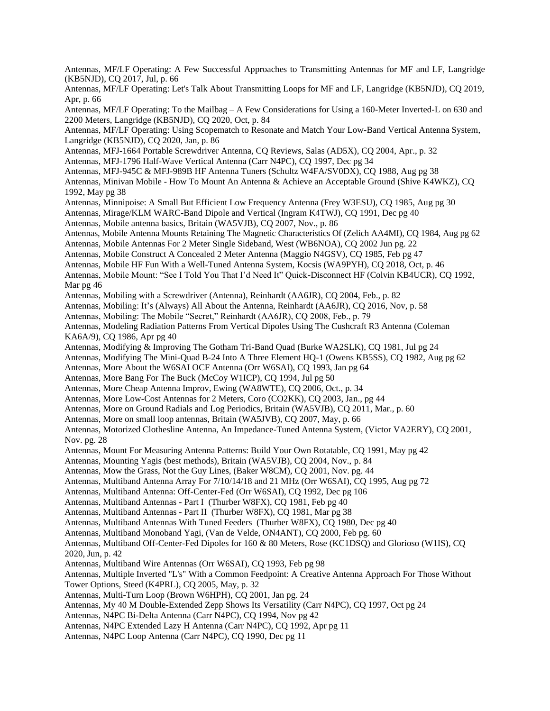Antennas, MF/LF Operating: A Few Successful Approaches to Transmitting Antennas for MF and LF, Langridge (KB5NJD), CQ 2017, Jul, p. 66 Antennas, MF/LF Operating: Let's Talk About Transmitting Loops for MF and LF, Langridge (KB5NJD), CQ 2019, Apr, p. 66 Antennas, MF/LF Operating: To the Mailbag – A Few Considerations for Using a 160-Meter Inverted-L on 630 and 2200 Meters, Langridge (KB5NJD), CQ 2020, Oct, p. 84 Antennas, MF/LF Operating: Using Scopematch to Resonate and Match Your Low-Band Vertical Antenna System, Langridge (KB5NJD), CQ 2020, Jan, p. 86 Antennas, MFJ-1664 Portable Screwdriver Antenna, CQ Reviews, Salas (AD5X), CQ 2004, Apr., p. 32 Antennas, MFJ-1796 Half-Wave Vertical Antenna (Carr N4PC), CQ 1997, Dec pg 34 Antennas, MFJ-945C & MFJ-989B HF Antenna Tuners (Schultz W4FA/SV0DX), CQ 1988, Aug pg 38 Antennas, Minivan Mobile - How To Mount An Antenna & Achieve an Acceptable Ground (Shive K4WKZ), CQ 1992, May pg 38 Antennas, Minnipoise: A Small But Efficient Low Frequency Antenna (Frey W3ESU), CQ 1985, Aug pg 30 Antennas, Mirage/KLM WARC-Band Dipole and Vertical (Ingram K4TWJ), CQ 1991, Dec pg 40 Antennas, Mobile antenna basics, Britain (WA5VJB), CQ 2007, Nov., p. 86 Antennas, Mobile Antenna Mounts Retaining The Magnetic Characteristics Of (Zelich AA4MI), CQ 1984, Aug pg 62 Antennas, Mobile Antennas For 2 Meter Single Sideband, West (WB6NOA), CQ 2002 Jun pg. 22 Antennas, Mobile Construct A Concealed 2 Meter Antenna (Maggio N4GSV), CQ 1985, Feb pg 47 Antennas, Mobile HF Fun With a Well-Tuned Antenna System, Kocsis (WA9PYH), CQ 2018, Oct, p. 46 Antennas, Mobile Mount: "See I Told You That I'd Need It" Quick-Disconnect HF (Colvin KB4UCR), CQ 1992, Mar pg 46 Antennas, Mobiling with a Screwdriver (Antenna), Reinhardt (AA6JR), CQ 2004, Feb., p. 82 Antennas, Mobiling: It's (Always) All About the Antenna, Reinhardt (AA6JR), CQ 2016, Nov, p. 58 Antennas, Mobiling: The Mobile "Secret," Reinhardt (AA6JR), CQ 2008, Feb., p. 79 Antennas, Modeling Radiation Patterns From Vertical Dipoles Using The Cushcraft R3 Antenna (Coleman KA6A/9), CQ 1986, Apr pg 40 Antennas, Modifying & Improving The Gotham Tri-Band Quad (Burke WA2SLK), CQ 1981, Jul pg 24 Antennas, Modifying The Mini-Quad B-24 Into A Three Element HQ-1 (Owens KB5SS), CQ 1982, Aug pg 62 Antennas, More About the W6SAI OCF Antenna (Orr W6SAI), CQ 1993, Jan pg 64 Antennas, More Bang For The Buck (McCoy W1ICP), CQ 1994, Jul pg 50 Antennas, More Cheap Antenna Improv, Ewing (WA8WTE), CQ 2006, Oct., p. 34 Antennas, More Low-Cost Antennas for 2 Meters, Coro (CO2KK), CQ 2003, Jan., pg 44 Antennas, More on Ground Radials and Log Periodics, Britain (WA5VJB), CQ 2011, Mar., p. 60 Antennas, More on small loop antennas, Britain (WA5JVB), CQ 2007, May, p. 66 Antennas, Motorized Clothesline Antenna, An Impedance-Tuned Antenna System, (Victor VA2ERY), CQ 2001, Nov. pg. 28 Antennas, Mount For Measuring Antenna Patterns: Build Your Own Rotatable, CQ 1991, May pg 42 Antennas, Mounting Yagis (best methods), Britain (WA5VJB), CQ 2004, Nov., p. 84 Antennas, Mow the Grass, Not the Guy Lines, (Baker W8CM), CQ 2001, Nov. pg. 44 Antennas, Multiband Antenna Array For 7/10/14/18 and 21 MHz (Orr W6SAI), CQ 1995, Aug pg 72 Antennas, Multiband Antenna: Off-Center-Fed (Orr W6SAI), CQ 1992, Dec pg 106 Antennas, Multiband Antennas - Part I (Thurber W8FX), CQ 1981, Feb pg 40 Antennas, Multiband Antennas - Part II (Thurber W8FX), CQ 1981, Mar pg 38 Antennas, Multiband Antennas With Tuned Feeders (Thurber W8FX), CQ 1980, Dec pg 40 Antennas, Multiband Monoband Yagi, (Van de Velde, ON4ANT), CQ 2000, Feb pg. 60 Antennas, Multiband Off-Center-Fed Dipoles for 160 & 80 Meters, Rose (KC1DSQ) and Glorioso (W1IS), CQ 2020, Jun, p. 42 Antennas, Multiband Wire Antennas (Orr W6SAI), CQ 1993, Feb pg 98 Antennas, Multiple Inverted "L's" With a Common Feedpoint: A Creative Antenna Approach For Those Without Tower Options, Steed (K4PRL), CQ 2005, May, p. 32 Antennas, Multi-Turn Loop (Brown W6HPH), CQ 2001, Jan pg. 24 Antennas, My 40 M Double-Extended Zepp Shows Its Versatility (Carr N4PC), CQ 1997, Oct pg 24 Antennas, N4PC Bi-Delta Antenna (Carr N4PC), CQ 1994, Nov pg 42 Antennas, N4PC Extended Lazy H Antenna (Carr N4PC), CQ 1992, Apr pg 11 Antennas, N4PC Loop Antenna (Carr N4PC), CQ 1990, Dec pg 11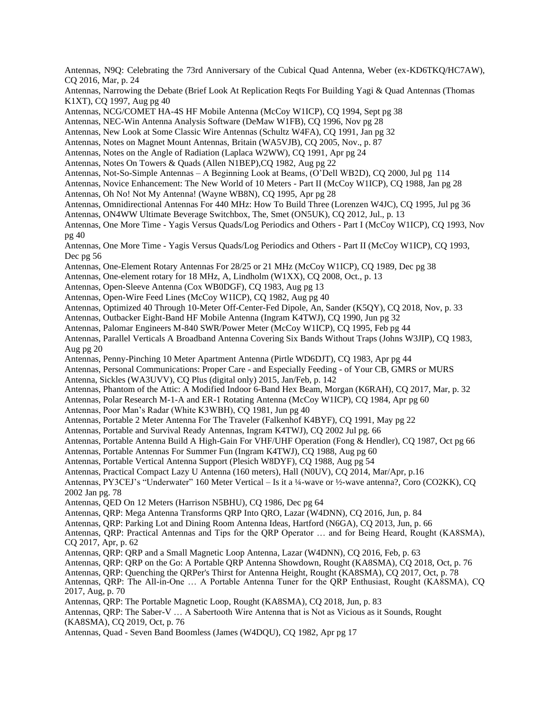Antennas, N9Q: Celebrating the 73rd Anniversary of the Cubical Quad Antenna, Weber (ex-KD6TKQ/HC7AW), CQ 2016, Mar, p. 24 Antennas, Narrowing the Debate (Brief Look At Replication Reqts For Building Yagi & Quad Antennas (Thomas K1XT), CQ 1997, Aug pg 40 Antennas, NCG/COMET HA-4S HF Mobile Antenna (McCoy W1ICP), CQ 1994, Sept pg 38 Antennas, NEC-Win Antenna Analysis Software (DeMaw W1FB), CQ 1996, Nov pg 28 Antennas, New Look at Some Classic Wire Antennas (Schultz W4FA), CQ 1991, Jan pg 32 Antennas, Notes on Magnet Mount Antennas, Britain (WA5VJB), CQ 2005, Nov., p. 87 Antennas, Notes on the Angle of Radiation (Laplaca W2WW), CQ 1991, Apr pg 24 Antennas, Notes On Towers & Quads (Allen N1BEP),CQ 1982, Aug pg 22 Antennas, Not-So-Simple Antennas – A Beginning Look at Beams, (O'Dell WB2D), CQ 2000, Jul pg 114 Antennas, Novice Enhancement: The New World of 10 Meters - Part II (McCoy W1ICP), CQ 1988, Jan pg 28 Antennas, Oh No! Not My Antenna! (Wayne WB8N), CQ 1995, Apr pg 28 Antennas, Omnidirectional Antennas For 440 MHz: How To Build Three (Lorenzen W4JC), CQ 1995, Jul pg 36 Antennas, ON4WW Ultimate Beverage Switchbox, The, Smet (ON5UK), CQ 2012, Jul., p. 13 Antennas, One More Time - Yagis Versus Quads/Log Periodics and Others - Part I (McCoy W1ICP), CQ 1993, Nov pg 40 Antennas, One More Time - Yagis Versus Quads/Log Periodics and Others - Part II (McCoy W1ICP), CQ 1993, Dec pg 56 Antennas, One-Element Rotary Antennas For 28/25 or 21 MHz (McCoy W1ICP), CQ 1989, Dec pg 38 Antennas, One-element rotary for 18 MHz, A, Lindholm (W1XX), CQ 2008, Oct., p. 13 Antennas, Open-Sleeve Antenna (Cox WB0DGF), CQ 1983, Aug pg 13 Antennas, Open-Wire Feed Lines (McCoy W1ICP), CQ 1982, Aug pg 40 Antennas, Optimized 40 Through 10-Meter Off-Center-Fed Dipole, An, Sander (K5QY), CQ 2018, Nov, p. 33 Antennas, Outbacker Eight-Band HF Mobile Antenna (Ingram K4TWJ), CQ 1990, Jun pg 32 Antennas, Palomar Engineers M-840 SWR/Power Meter (McCoy W1ICP), CQ 1995, Feb pg 44 Antennas, Parallel Verticals A Broadband Antenna Covering Six Bands Without Traps (Johns W3JIP), CQ 1983, Aug pg 20 Antennas, Penny-Pinching 10 Meter Apartment Antenna (Pirtle WD6DJT), CQ 1983, Apr pg 44 Antennas, Personal Communications: Proper Care - and Especially Feeding - of Your CB, GMRS or MURS Antenna, Sickles (WA3UVV), CQ Plus (digital only) 2015, Jan/Feb, p. 142 Antennas, Phantom of the Attic: A Modified Indoor 6-Band Hex Beam, Morgan (K6RAH), CQ 2017, Mar, p. 32 Antennas, Polar Research M-1-A and ER-1 Rotating Antenna (McCoy W1ICP), CQ 1984, Apr pg 60 Antennas, Poor Man's Radar (White K3WBH), CQ 1981, Jun pg 40 Antennas, Portable 2 Meter Antenna For The Traveler (Falkenhof K4BYF), CQ 1991, May pg 22 Antennas, Portable and Survival Ready Antennas, Ingram K4TWJ), CQ 2002 Jul pg. 66 Antennas, Portable Antenna Build A High-Gain For VHF/UHF Operation (Fong & Hendler), CQ 1987, Oct pg 66 Antennas, Portable Antennas For Summer Fun (Ingram K4TWJ), CQ 1988, Aug pg 60 Antennas, Portable Vertical Antenna Support (Plesich W8DYF), CQ 1988, Aug pg 54 Antennas, Practical Compact Lazy U Antenna (160 meters), Hall (N0UV), CQ 2014, Mar/Apr, p.16 Antennas, PY3CEJ's "Underwater" 160 Meter Vertical – Is it a ¼-wave or ½-wave antenna?, Coro (CO2KK), CQ 2002 Jan pg. 78 Antennas, QED On 12 Meters (Harrison N5BHU), CQ 1986, Dec pg 64 Antennas, QRP: Mega Antenna Transforms QRP Into QRO, Lazar (W4DNN), CQ 2016, Jun, p. 84 Antennas, QRP: Parking Lot and Dining Room Antenna Ideas, Hartford (N6GA), CQ 2013, Jun, p. 66 Antennas, QRP: Practical Antennas and Tips for the QRP Operator … and for Being Heard, Rought (KA8SMA), CQ 2017, Apr, p. 62 Antennas, QRP: QRP and a Small Magnetic Loop Antenna, Lazar (W4DNN), CQ 2016, Feb, p. 63 Antennas, QRP: QRP on the Go: A Portable QRP Antenna Showdown, Rought (KA8SMA), CQ 2018, Oct, p. 76 Antennas, QRP: Quenching the QRPer's Thirst for Antenna Height, Rought (KA8SMA), CQ 2017, Oct, p. 78 Antennas, QRP: The All-in-One … A Portable Antenna Tuner for the QRP Enthusiast, Rought (KA8SMA), CQ 2017, Aug, p. 70 Antennas, QRP: The Portable Magnetic Loop, Rought (KA8SMA), CQ 2018, Jun, p. 83 Antennas, QRP: The Saber-V … A Sabertooth Wire Antenna that is Not as Vicious as it Sounds, Rought (KA8SMA), CQ 2019, Oct, p. 76 Antennas, Quad - Seven Band Boomless (James (W4DQU), CQ 1982, Apr pg 17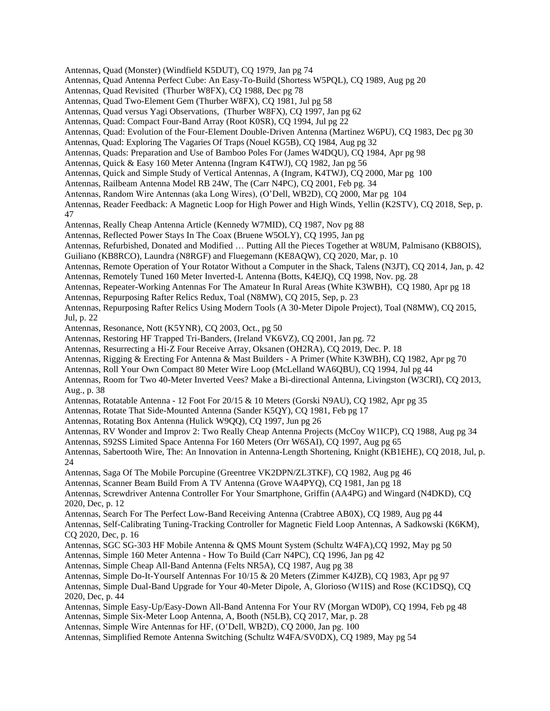- Antennas, Quad (Monster) (Windfield K5DUT), CQ 1979, Jan pg 74
- Antennas, Quad Antenna Perfect Cube: An Easy-To-Build (Shortess W5PQL), CQ 1989, Aug pg 20
- Antennas, Quad Revisited (Thurber W8FX), CQ 1988, Dec pg 78
- Antennas, Quad Two-Element Gem (Thurber W8FX), CQ 1981, Jul pg 58
- Antennas, Quad versus Yagi Observations, (Thurber W8FX), CQ 1997, Jan pg 62
- Antennas, Quad: Compact Four-Band Array (Root K0SR), CQ 1994, Jul pg 22
- Antennas, Quad: Evolution of the Four-Element Double-Driven Antenna (Martinez W6PU), CQ 1983, Dec pg 30
- Antennas, Quad: Exploring The Vagaries Of Traps (Nouel KG5B), CQ 1984, Aug pg 32
- Antennas, Quads: Preparation and Use of Bamboo Poles For (James W4DQU), CQ 1984, Apr pg 98
- Antennas, Quick & Easy 160 Meter Antenna (Ingram K4TWJ), CQ 1982, Jan pg 56
- Antennas, Quick and Simple Study of Vertical Antennas, A (Ingram, K4TWJ), CQ 2000, Mar pg 100
- Antennas, Railbeam Antenna Model RB 24W, The (Carr N4PC), CQ 2001, Feb pg. 34
- Antennas, Random Wire Antennas (aka Long Wires), (O'Dell, WB2D), CQ 2000, Mar pg 104
- Antennas, Reader Feedback: A Magnetic Loop for High Power and High Winds, Yellin (K2STV), CQ 2018, Sep, p. 47
- Antennas, Really Cheap Antenna Article (Kennedy W7MID), CQ 1987, Nov pg 88
- Antennas, Reflected Power Stays In The Coax (Bruene W5OLY), CQ 1995, Jan pg
- Antennas, Refurbished, Donated and Modified … Putting All the Pieces Together at W8UM, Palmisano (KB8OIS),
- Guiliano (KB8RCO), Laundra (N8RGF) and Fluegemann (KE8AQW), CQ 2020, Mar, p. 10
- Antennas, Remote Operation of Your Rotator Without a Computer in the Shack, Talens (N3JT), CQ 2014, Jan, p. 42 Antennas, Remotely Tuned 160 Meter Inverted-L Antenna (Botts, K4EJQ), CQ 1998, Nov. pg. 28
- 
- Antennas, Repeater-Working Antennas For The Amateur In Rural Areas (White K3WBH), CQ 1980, Apr pg 18
- Antennas, Repurposing Rafter Relics Redux, Toal (N8MW), CQ 2015, Sep, p. 23
- Antennas, Repurposing Rafter Relics Using Modern Tools (A 30-Meter Dipole Project), Toal (N8MW), CQ 2015, Jul, p. 22
- Antennas, Resonance, Nott (K5YNR), CQ 2003, Oct., pg 50
- Antennas, Restoring HF Trapped Tri-Banders, (Ireland VK6VZ), CQ 2001, Jan pg. 72
- Antennas, Resurrecting a Hi-Z Four Receive Array, Oksanen (OH2RA), CQ 2019, Dec. P. 18
- Antennas, Rigging & Erecting For Antenna & Mast Builders A Primer (White K3WBH), CQ 1982, Apr pg 70
- Antennas, Roll Your Own Compact 80 Meter Wire Loop (McLelland WA6QBU), CQ 1994, Jul pg 44
- Antennas, Room for Two 40-Meter Inverted Vees? Make a Bi-directional Antenna, Livingston (W3CRI), CQ 2013, Aug., p. 38
- Antennas, Rotatable Antenna 12 Foot For 20/15 & 10 Meters (Gorski N9AU), CQ 1982, Apr pg 35
- Antennas, Rotate That Side-Mounted Antenna (Sander K5QY), CQ 1981, Feb pg 17
- Antennas, Rotating Box Antenna (Hulick W9QQ), CQ 1997, Jun pg 26
- Antennas, RV Wonder and Improv 2: Two Really Cheap Antenna Projects (McCoy W1ICP), CQ 1988, Aug pg 34 Antennas, S92SS Limited Space Antenna For 160 Meters (Orr W6SAI), CQ 1997, Aug pg 65
- Antennas, Sabertooth Wire, The: An Innovation in Antenna-Length Shortening, Knight (KB1EHE), CQ 2018, Jul, p. 24
- Antennas, Saga Of The Mobile Porcupine (Greentree VK2DPN/ZL3TKF), CQ 1982, Aug pg 46
- Antennas, Scanner Beam Build From A TV Antenna (Grove WA4PYQ), CQ 1981, Jan pg 18
- Antennas, Screwdriver Antenna Controller For Your Smartphone, Griffin (AA4PG) and Wingard (N4DKD), CQ 2020, Dec, p. 12
- Antennas, Search For The Perfect Low-Band Receiving Antenna (Crabtree AB0X), CQ 1989, Aug pg 44
- Antennas, Self-Calibrating Tuning-Tracking Controller for Magnetic Field Loop Antennas, A Sadkowski (K6KM), CQ 2020, Dec, p. 16
- Antennas, SGC SG-303 HF Mobile Antenna & QMS Mount System (Schultz W4FA),CQ 1992, May pg 50
- Antennas, Simple 160 Meter Antenna How To Build (Carr N4PC), CQ 1996, Jan pg 42
- Antennas, Simple Cheap All-Band Antenna (Felts NR5A), CQ 1987, Aug pg 38
- Antennas, Simple Do-It-Yourself Antennas For 10/15 & 20 Meters (Zimmer K4JZB), CQ 1983, Apr pg 97
- Antennas, Simple Dual-Band Upgrade for Your 40-Meter Dipole, A, Glorioso (W1IS) and Rose (KC1DSQ), CQ 2020, Dec, p. 44
- Antennas, Simple Easy-Up/Easy-Down All-Band Antenna For Your RV (Morgan WD0P), CQ 1994, Feb pg 48 Antennas, Simple Six-Meter Loop Antenna, A, Booth (N5LB), CQ 2017, Mar, p. 28
- Antennas, Simple Wire Antennas for HF, (O'Dell, WB2D), CQ 2000, Jan pg. 100
- Antennas, Simplified Remote Antenna Switching (Schultz W4FA/SV0DX), CQ 1989, May pg 54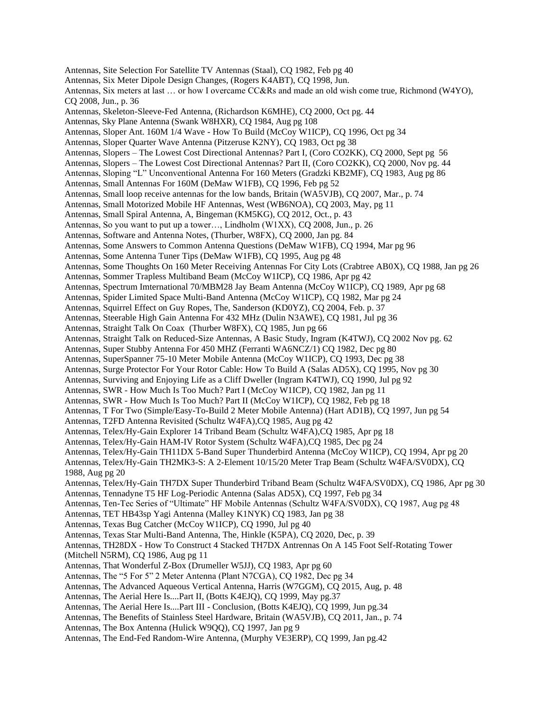Antennas, Site Selection For Satellite TV Antennas (Staal), CQ 1982, Feb pg 40 Antennas, Six Meter Dipole Design Changes, (Rogers K4ABT), CQ 1998, Jun. Antennas, Six meters at last … or how I overcame CC&Rs and made an old wish come true, Richmond (W4YO), CQ 2008, Jun., p. 36 Antennas, Skeleton-Sleeve-Fed Antenna, (Richardson K6MHE), CQ 2000, Oct pg. 44 Antennas, Sky Plane Antenna (Swank W8HXR), CQ 1984, Aug pg 108 Antennas, Sloper Ant. 160M 1/4 Wave - How To Build (McCoy W1ICP), CQ 1996, Oct pg 34 Antennas, Sloper Quarter Wave Antenna (Pitzeruse K2NY), CQ 1983, Oct pg 38 Antennas, Slopers – The Lowest Cost Directional Antennas? Part I, (Coro CO2KK), CQ 2000, Sept pg 56 Antennas, Slopers – The Lowest Cost Directional Antennas? Part II, (Coro CO2KK), CQ 2000, Nov pg. 44 Antennas, Sloping "L" Unconventional Antenna For 160 Meters (Gradzki KB2MF), CQ 1983, Aug pg 86 Antennas, Small Antennas For 160M (DeMaw W1FB), CQ 1996, Feb pg 52 Antennas, Small loop receive antennas for the low bands, Britain (WA5VJB), CQ 2007, Mar., p. 74 Antennas, Small Motorized Mobile HF Antennas, West (WB6NOA), CQ 2003, May, pg 11 Antennas, Small Spiral Antenna, A, Bingeman (KM5KG), CQ 2012, Oct., p. 43 Antennas, So you want to put up a tower…, Lindholm (W1XX), CQ 2008, Jun., p. 26 Antennas, Software and Antenna Notes, (Thurber, W8FX), CQ 2000, Jan pg. 84 Antennas, Some Answers to Common Antenna Questions (DeMaw W1FB), CQ 1994, Mar pg 96 Antennas, Some Antenna Tuner Tips (DeMaw W1FB), CQ 1995, Aug pg 48 Antennas, Some Thoughts On 160 Meter Receiving Antennas For City Lots (Crabtree AB0X), CQ 1988, Jan pg 26 Antennas, Sommer Trapless Multiband Beam (McCoy W1ICP), CQ 1986, Apr pg 42 Antennas, Spectrum Imternational 70/MBM28 Jay Beam Antenna (McCoy W1ICP), CQ 1989, Apr pg 68 Antennas, Spider Limited Space Multi-Band Antenna (McCoy W1ICP), CQ 1982, Mar pg 24 Antennas, Squirrel Effect on Guy Ropes, The, Sanderson (KD0YZ), CQ 2004, Feb. p. 37 Antennas, Steerable High Gain Antenna For 432 MHz (Dulin N3AWE), CQ 1981, Jul pg 36 Antennas, Straight Talk On Coax (Thurber W8FX), CQ 1985, Jun pg 66 Antennas, Straight Talk on Reduced-Size Antennas, A Basic Study, Ingram (K4TWJ), CQ 2002 Nov pg. 62 Antennas, Super Stubby Antenna For 450 MHZ (Ferranti WA6NCZ/1) CO 1982, Dec pg 80 Antennas, SuperSpanner 75-10 Meter Mobile Antenna (McCoy W1ICP), CQ 1993, Dec pg 38 Antennas, Surge Protector For Your Rotor Cable: How To Build A (Salas AD5X), CQ 1995, Nov pg 30 Antennas, Surviving and Enjoying Life as a Cliff Dweller (Ingram K4TWJ), CQ 1990, Jul pg 92 Antennas, SWR - How Much Is Too Much? Part I (McCoy W1ICP), CQ 1982, Jan pg 11 Antennas, SWR - How Much Is Too Much? Part II (McCoy W1ICP), CQ 1982, Feb pg 18 Antennas, T For Two (Simple/Easy-To-Build 2 Meter Mobile Antenna) (Hart AD1B), CQ 1997, Jun pg 54 Antennas, T2FD Antenna Revisited (Schultz W4FA),CQ 1985, Aug pg 42 Antennas, Telex/Hy-Gain Explorer 14 Triband Beam (Schultz W4FA),CQ 1985, Apr pg 18 Antennas, Telex/Hy-Gain HAM-IV Rotor System (Schultz W4FA),CQ 1985, Dec pg 24 Antennas, Telex/Hy-Gain TH11DX 5-Band Super Thunderbird Antenna (McCoy W1ICP), CQ 1994, Apr pg 20 Antennas, Telex/Hy-Gain TH2MK3-S: A 2-Element 10/15/20 Meter Trap Beam (Schultz W4FA/SV0DX), CQ 1988, Aug pg 20 Antennas, Telex/Hy-Gain TH7DX Super Thunderbird Triband Beam (Schultz W4FA/SV0DX), CQ 1986, Apr pg 30 Antennas, Tennadyne T5 HF Log-Periodic Antenna (Salas AD5X), CQ 1997, Feb pg 34 Antennas, Ten-Tec Series of "Ultimate" HF Mobile Antennas (Schultz W4FA/SV0DX), CQ 1987, Aug pg 48 Antennas, TET HB43sp Yagi Antenna (Malley K1NYK) CQ 1983, Jan pg 38 Antennas, Texas Bug Catcher (McCoy W1ICP), CQ 1990, Jul pg 40 Antennas, Texas Star Multi-Band Antenna, The, Hinkle (K5PA), CQ 2020, Dec, p. 39 Antennas, TH28DX - How To Construct 4 Stacked TH7DX Antrennas On A 145 Foot Self-Rotating Tower (Mitchell N5RM), CQ 1986, Aug pg 11 Antennas, That Wonderful Z-Box (Drumeller W5JJ), CQ 1983, Apr pg 60 Antennas, The "5 For 5" 2 Meter Antenna (Plant N7CGA), CQ 1982, Dec pg 34 Antennas, The Advanced Aqueous Vertical Antenna, Harris (W7GGM), CQ 2015, Aug, p. 48 Antennas, The Aerial Here Is....Part II, (Botts K4EJQ), CQ 1999, May pg.37 Antennas, The Aerial Here Is....Part III - Conclusion, (Botts K4EJQ), CQ 1999, Jun pg.34 Antennas, The Benefits of Stainless Steel Hardware, Britain (WA5VJB), CQ 2011, Jan., p. 74 Antennas, The Box Antenna (Hulick W9QQ), CQ 1997, Jan pg 9 Antennas, The End-Fed Random-Wire Antenna, (Murphy VE3ERP), CQ 1999, Jan pg.42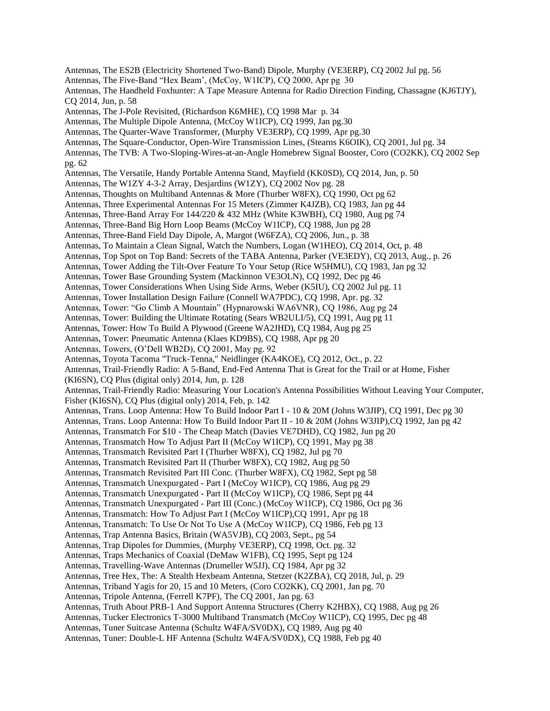Antennas, The ES2B (Electricity Shortened Two-Band) Dipole, Murphy (VE3ERP), CQ 2002 Jul pg. 56 Antennas, The Five-Band "Hex Beam', (McCoy, W1ICP), CQ 2000, Apr pg 30 Antennas, The Handheld Foxhunter: A Tape Measure Antenna for Radio Direction Finding, Chassagne (KJ6TJY), CQ 2014, Jun, p. 58 Antennas, The J-Pole Revisited, (Richardson K6MHE), CQ 1998 Mar p. 34 Antennas, The Multiple Dipole Antenna, (McCoy W1ICP), CQ 1999, Jan pg.30 Antennas, The Quarter-Wave Transformer, (Murphy VE3ERP), CQ 1999, Apr pg.30 Antennas, The Square-Conductor, Open-Wire Transmission Lines, (Stearns K6OIK), CQ 2001, Jul pg. 34 Antennas, The TVB: A Two-Sloping-Wires-at-an-Angle Homebrew Signal Booster, Coro (CO2KK), CQ 2002 Sep pg. 62 Antennas, The Versatile, Handy Portable Antenna Stand, Mayfield (KK0SD), CQ 2014, Jun, p. 50 Antennas, The W1ZY 4-3-2 Array, Desjardins (W1ZY), CQ 2002 Nov pg. 28 Antennas, Thoughts on Multiband Antennas & More (Thurber W8FX), CQ 1990, Oct pg 62 Antennas, Three Experimental Antennas For 15 Meters (Zimmer K4JZB), CQ 1983, Jan pg 44 Antennas, Three-Band Array For 144/220 & 432 MHz (White K3WBH), CQ 1980, Aug pg 74 Antennas, Three-Band Big Horn Loop Beams (McCoy W1ICP), CQ 1988, Jun pg 28 Antennas, Three-Band Field Day Dipole, A, Margot (W6FZA), CQ 2006, Jun., p. 38 Antennas, To Maintain a Clean Signal, Watch the Numbers, Logan (W1HEO), CQ 2014, Oct, p. 48 Antennas, Top Spot on Top Band: Secrets of the TABA Antenna, Parker (VE3EDY), CQ 2013, Aug., p. 26 Antennas, Tower Adding the Tilt-Over Feature To Your Setup (Rice W5HMU), CQ 1983, Jan pg 32 Antennas, Tower Base Grounding System (Mackinnon VE3OLN), CQ 1992, Dec pg 46 Antennas, Tower Considerations When Using Side Arms, Weber (K5IU), CQ 2002 Jul pg. 11 Antennas, Tower Installation Design Failure (Connell WA7PDC), CQ 1998, Apr. pg. 32 Antennas, Tower: "Go Climb A Mountain" (Hypnarowski WA6VNR), CQ 1986, Aug pg 24 Antennas, Tower: Building the Ultimate Rotating (Sears WB2ULI/5), CQ 1991, Aug pg 11 Antennas, Tower: How To Build A Plywood (Greene WA2JHD), CQ 1984, Aug pg 25 Antennas, Tower: Pneumatic Antenna (Klaes KD9BS), CQ 1988, Apr pg 20 Antennas, Towers, (O'Dell WB2D), CQ 2001, May pg. 92 Antennas, Toyota Tacoma "Truck-Tenna," Neidlinger (KA4KOE), CQ 2012, Oct., p. 22 Antennas, Trail-Friendly Radio: A 5-Band, End-Fed Antenna That is Great for the Trail or at Home, Fisher (KI6SN), CQ Plus (digital only) 2014, Jun, p. 128 Antennas, Trail-Friendly Radio: Measuring Your Location's Antenna Possibilities Without Leaving Your Computer, Fisher (KI6SN), CQ Plus (digital only) 2014, Feb, p. 142 Antennas, Trans. Loop Antenna: How To Build Indoor Part I - 10 & 20M (Johns W3JIP), CQ 1991, Dec pg 30 Antennas, Trans. Loop Antenna: How To Build Indoor Part II - 10 & 20M (Johns W3JIP),CQ 1992, Jan pg 42 Antennas, Transmatch For \$10 - The Cheap Match (Davies VE7DHD), CQ 1982, Jun pg 20 Antennas, Transmatch How To Adjust Part II (McCoy W1ICP), CQ 1991, May pg 38 Antennas, Transmatch Revisited Part I (Thurber W8FX), CQ 1982, Jul pg 70 Antennas, Transmatch Revisited Part II (Thurber W8FX), CQ 1982, Aug pg 50 Antennas, Transmatch Revisited Part III Conc. (Thurber W8FX), CQ 1982, Sept pg 58 Antennas, Transmatch Unexpurgated - Part I (McCoy W1ICP), CQ 1986, Aug pg 29 Antennas, Transmatch Unexpurgated - Part II (McCoy W1ICP), CQ 1986, Sept pg 44 Antennas, Transmatch Unexpurgated - Part III (Conc.) (McCoy W1ICP), CQ 1986, Oct pg 36 Antennas, Transmatch: How To Adjust Part I (McCoy W1ICP),CQ 1991, Apr pg 18 Antennas, Transmatch: To Use Or Not To Use A (McCoy W1ICP), CQ 1986, Feb pg 13 Antennas, Trap Antenna Basics, Britain (WA5VJB), CQ 2003, Sept., pg 54 Antennas, Trap Dipoles for Dummies, (Murphy VE3ERP), CQ 1998, Oct. pg. 32 Antennas, Traps Mechanics of Coaxial (DeMaw W1FB), CQ 1995, Sept pg 124 Antennas, Travelling-Wave Antennas (Drumeller W5JJ), CQ 1984, Apr pg 32 Antennas, Tree Hex, The: A Stealth Hexbeam Antenna, Stetzer (K2ZBA), CQ 2018, Jul, p. 29 Antennas, Triband Yagis for 20, 15 and 10 Meters, (Coro CO2KK), CQ 2001, Jan pg. 70 Antennas, Tripole Antenna, (Ferrell K7PF), The CQ 2001, Jan pg. 63 Antennas, Truth About PRB-1 And Support Antenna Structures (Cherry K2HBX), CQ 1988, Aug pg 26 Antennas, Tucker Electronics T-3000 Multiband Transmatch (McCoy W1ICP), CQ 1995, Dec pg 48 Antennas, Tuner Suitcase Antenna (Schultz W4FA/SV0DX), CQ 1989, Aug pg 40 Antennas, Tuner: Double-L HF Antenna (Schultz W4FA/SV0DX), CQ 1988, Feb pg 40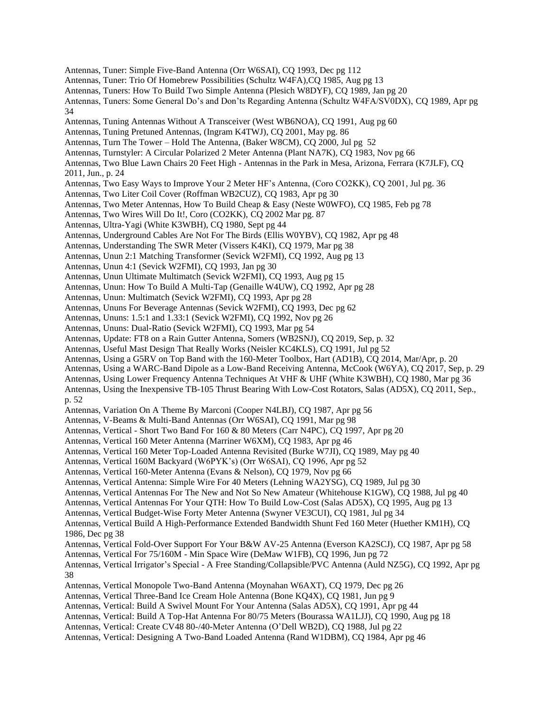Antennas, Tuner: Simple Five-Band Antenna (Orr W6SAI), CQ 1993, Dec pg 112 Antennas, Tuner: Trio Of Homebrew Possibilities (Schultz W4FA),CQ 1985, Aug pg 13 Antennas, Tuners: How To Build Two Simple Antenna (Plesich W8DYF), CQ 1989, Jan pg 20 Antennas, Tuners: Some General Do's and Don'ts Regarding Antenna (Schultz W4FA/SV0DX), CQ 1989, Apr pg 34 Antennas, Tuning Antennas Without A Transceiver (West WB6NOA), CQ 1991, Aug pg 60 Antennas, Tuning Pretuned Antennas, (Ingram K4TWJ), CQ 2001, May pg. 86 Antennas, Turn The Tower – Hold The Antenna, (Baker W8CM), CQ 2000, Jul pg 52 Antennas, Turnstyler: A Circular Polarized 2 Meter Antenna (Plant NA7K), CQ 1983, Nov pg 66 Antennas, Two Blue Lawn Chairs 20 Feet High - Antennas in the Park in Mesa, Arizona, Ferrara (K7JLF), CQ 2011, Jun., p. 24 Antennas, Two Easy Ways to Improve Your 2 Meter HF's Antenna, (Coro CO2KK), CQ 2001, Jul pg. 36 Antennas, Two Liter Coil Cover (Roffman WB2CUZ), CQ 1983, Apr pg 30 Antennas, Two Meter Antennas, How To Build Cheap & Easy (Neste W0WFO), CQ 1985, Feb pg 78 Antennas, Two Wires Will Do It!, Coro (CO2KK), CQ 2002 Mar pg. 87 Antennas, Ultra-Yagi (White K3WBH), CQ 1980, Sept pg 44 Antennas, Underground Cables Are Not For The Birds (Ellis W0YBV), CQ 1982, Apr pg 48 Antennas, Understanding The SWR Meter (Vissers K4KI), CQ 1979, Mar pg 38 Antennas, Unun 2:1 Matching Transformer (Sevick W2FMI), CQ 1992, Aug pg 13 Antennas, Unun 4:1 (Sevick W2FMI), CQ 1993, Jan pg 30 Antennas, Unun Ultimate Multimatch (Sevick W2FMI), CQ 1993, Aug pg 15 Antennas, Unun: How To Build A Multi-Tap (Genaille W4UW), CQ 1992, Apr pg 28 Antennas, Unun: Multimatch (Sevick W2FMI), CQ 1993, Apr pg 28 Antennas, Ununs For Beverage Antennas (Sevick W2FMI), CQ 1993, Dec pg 62 Antennas, Ununs: 1.5:1 and 1.33:1 (Sevick W2FMI), CQ 1992, Nov pg 26 Antennas, Ununs: Dual-Ratio (Sevick W2FMI), CQ 1993, Mar pg 54 Antennas, Update: FT8 on a Rain Gutter Antenna, Somers (WB2SNJ), CQ 2019, Sep, p. 32 Antennas, Useful Mast Design That Really Works (Neisler KC4KLS), CQ 1991, Jul pg 52 Antennas, Using a G5RV on Top Band with the 160-Meter Toolbox, Hart (AD1B), CQ 2014, Mar/Apr, p. 20 Antennas, Using a WARC-Band Dipole as a Low-Band Receiving Antenna, McCook (W6YA), CQ 2017, Sep, p. 29 Antennas, Using Lower Frequency Antenna Techniques At VHF & UHF (White K3WBH), CQ 1980, Mar pg 36 Antennas, Using the Inexpensive TB-105 Thrust Bearing With Low-Cost Rotators, Salas (AD5X), CQ 2011, Sep., p. 52 Antennas, Variation On A Theme By Marconi (Cooper N4LBJ), CQ 1987, Apr pg 56 Antennas, V-Beams & Multi-Band Antennas (Orr W6SAI), CQ 1991, Mar pg 98 Antennas, Vertical - Short Two Band For 160 & 80 Meters (Carr N4PC), CQ 1997, Apr pg 20 Antennas, Vertical 160 Meter Antenna (Marriner W6XM), CQ 1983, Apr pg 46 Antennas, Vertical 160 Meter Top-Loaded Antenna Revisited (Burke W7JI), CQ 1989, May pg 40 Antennas, Vertical 160M Backyard (W6PYK's) (Orr W6SAI), CQ 1996, Apr pg 52 Antennas, Vertical 160-Meter Antenna (Evans & Nelson), CQ 1979, Nov pg 66 Antennas, Vertical Antenna: Simple Wire For 40 Meters (Lehning WA2YSG), CQ 1989, Jul pg 30 Antennas, Vertical Antennas For The New and Not So New Amateur (Whitehouse K1GW), CQ 1988, Jul pg 40 Antennas, Vertical Antennas For Your QTH: How To Build Low-Cost (Salas AD5X), CQ 1995, Aug pg 13 Antennas, Vertical Budget-Wise Forty Meter Antenna (Swyner VE3CUI), CQ 1981, Jul pg 34 Antennas, Vertical Build A High-Performance Extended Bandwidth Shunt Fed 160 Meter (Huether KM1H), CQ 1986, Dec pg 38 Antennas, Vertical Fold-Over Support For Your B&W AV-25 Antenna (Everson KA2SCJ), CQ 1987, Apr pg 58 Antennas, Vertical For 75/160M - Min Space Wire (DeMaw W1FB), CQ 1996, Jun pg 72 Antennas, Vertical Irrigator's Special - A Free Standing/Collapsible/PVC Antenna (Auld NZ5G), CQ 1992, Apr pg 38 Antennas, Vertical Monopole Two-Band Antenna (Moynahan W6AXT), CQ 1979, Dec pg 26 Antennas, Vertical Three-Band Ice Cream Hole Antenna (Bone KQ4X), CQ 1981, Jun pg 9 Antennas, Vertical: Build A Swivel Mount For Your Antenna (Salas AD5X), CQ 1991, Apr pg 44 Antennas, Vertical: Build A Top-Hat Antenna For 80/75 Meters (Bourassa WA1LJJ), CQ 1990, Aug pg 18 Antennas, Vertical: Create CV48 80-/40-Meter Antenna (O'Dell WB2D), CQ 1988, Jul pg 22 Antennas, Vertical: Designing A Two-Band Loaded Antenna (Rand W1DBM), CQ 1984, Apr pg 46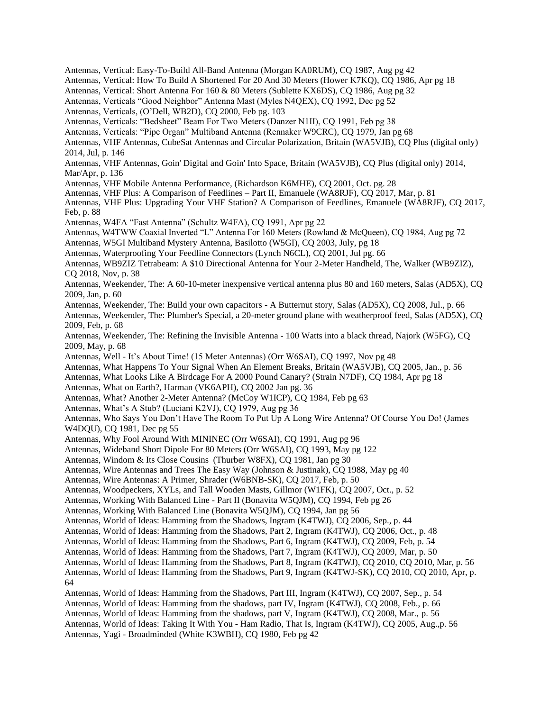Antennas, Vertical: Easy-To-Build All-Band Antenna (Morgan KA0RUM), CQ 1987, Aug pg 42 Antennas, Vertical: How To Build A Shortened For 20 And 30 Meters (Hower K7KQ), CQ 1986, Apr pg 18 Antennas, Vertical: Short Antenna For 160 & 80 Meters (Sublette KX6DS), CQ 1986, Aug pg 32 Antennas, Verticals "Good Neighbor" Antenna Mast (Myles N4QEX), CQ 1992, Dec pg 52 Antennas, Verticals, (O'Dell, WB2D), CQ 2000, Feb pg. 103 Antennas, Verticals: "Bedsheet" Beam For Two Meters (Danzer N1II), CQ 1991, Feb pg 38 Antennas, Verticals: "Pipe Organ" Multiband Antenna (Rennaker W9CRC), CQ 1979, Jan pg 68 Antennas, VHF Antennas, CubeSat Antennas and Circular Polarization, Britain (WA5VJB), CQ Plus (digital only) 2014, Jul, p. 146 Antennas, VHF Antennas, Goin' Digital and Goin' Into Space, Britain (WA5VJB), CQ Plus (digital only) 2014, Mar/Apr, p. 136 Antennas, VHF Mobile Antenna Performance, (Richardson K6MHE), CQ 2001, Oct. pg. 28 Antennas, VHF Plus: A Comparison of Feedlines – Part II, Emanuele (WA8RJF), CQ 2017, Mar, p. 81 Antennas, VHF Plus: Upgrading Your VHF Station? A Comparison of Feedlines, Emanuele (WA8RJF), CQ 2017, Feb, p. 88 Antennas, W4FA "Fast Antenna" (Schultz W4FA), CQ 1991, Apr pg 22 Antennas, W4TWW Coaxial Inverted "L" Antenna For 160 Meters (Rowland & McQueen), CQ 1984, Aug pg 72 Antennas, W5GI Multiband Mystery Antenna, Basilotto (W5GI), CQ 2003, July, pg 18 Antennas, Waterproofing Your Feedline Connectors (Lynch N6CL), CQ 2001, Jul pg. 66 Antennas, WB9ZIZ Tetrabeam: A \$10 Directional Antenna for Your 2-Meter Handheld, The, Walker (WB9ZIZ), CQ 2018, Nov, p. 38 Antennas, Weekender, The: A 60-10-meter inexpensive vertical antenna plus 80 and 160 meters, Salas (AD5X), CQ 2009, Jan, p. 60 Antennas, Weekender, The: Build your own capacitors - A Butternut story, Salas (AD5X), CQ 2008, Jul., p. 66 Antennas, Weekender, The: Plumber's Special, a 20-meter ground plane with weatherproof feed, Salas (AD5X), CQ 2009, Feb, p. 68 Antennas, Weekender, The: Refining the Invisible Antenna - 100 Watts into a black thread, Najork (W5FG), CQ 2009, May, p. 68 Antennas, Well - It's About Time! (15 Meter Antennas) (Orr W6SAI), CQ 1997, Nov pg 48 Antennas, What Happens To Your Signal When An Element Breaks, Britain (WA5VJB), CQ 2005, Jan., p. 56 Antennas, What Looks Like A Birdcage For A 2000 Pound Canary? (Strain N7DF), CQ 1984, Apr pg 18 Antennas, What on Earth?, Harman (VK6APH), CQ 2002 Jan pg. 36 Antennas, What? Another 2-Meter Antenna? (McCoy W1ICP), CQ 1984, Feb pg 63 Antennas, What's A Stub? (Luciani K2VJ), CQ 1979, Aug pg 36 Antennas, Who Says You Don't Have The Room To Put Up A Long Wire Antenna? Of Course You Do! (James W4DQU), CQ 1981, Dec pg 55 Antennas, Why Fool Around With MININEC (Orr W6SAI), CQ 1991, Aug pg 96 Antennas, Wideband Short Dipole For 80 Meters (Orr W6SAI), CQ 1993, May pg 122 Antennas, Windom & Its Close Cousins (Thurber W8FX), CQ 1981, Jan pg 30 Antennas, Wire Antennas and Trees The Easy Way (Johnson & Justinak), CQ 1988, May pg 40 Antennas, Wire Antennas: A Primer, Shrader (W6BNB-SK), CQ 2017, Feb, p. 50 Antennas, Woodpeckers, XYLs, and Tall Wooden Masts, Gillmor (W1FK), CQ 2007, Oct., p. 52 Antennas, Working With Balanced Line - Part II (Bonavita W5QJM), CQ 1994, Feb pg 26 Antennas, Working With Balanced Line (Bonavita W5QJM), CQ 1994, Jan pg 56 Antennas, World of Ideas: Hamming from the Shadows, Ingram (K4TWJ), CQ 2006, Sep., p. 44 Antennas, World of Ideas: Hamming from the Shadows, Part 2, Ingram (K4TWJ), CQ 2006, Oct., p. 48 Antennas, World of Ideas: Hamming from the Shadows, Part 6, Ingram (K4TWJ), CQ 2009, Feb, p. 54 Antennas, World of Ideas: Hamming from the Shadows, Part 7, Ingram (K4TWJ), CQ 2009, Mar, p. 50 Antennas, World of Ideas: Hamming from the Shadows, Part 8, Ingram (K4TWJ), CQ 2010, CQ 2010, Mar, p. 56 Antennas, World of Ideas: Hamming from the Shadows, Part 9, Ingram (K4TWJ-SK), CQ 2010, CQ 2010, Apr, p. 64 Antennas, World of Ideas: Hamming from the Shadows, Part III, Ingram (K4TWJ), CQ 2007, Sep., p. 54 Antennas, World of Ideas: Hamming from the shadows, part IV, Ingram (K4TWJ), CQ 2008, Feb., p. 66 Antennas, World of Ideas: Hamming from the shadows, part V, Ingram (K4TWJ), CQ 2008, Mar., p. 56 Antennas, World of Ideas: Taking It With You - Ham Radio, That Is, Ingram (K4TWJ), CQ 2005, Aug.,p. 56 Antennas, Yagi - Broadminded (White K3WBH), CQ 1980, Feb pg 42